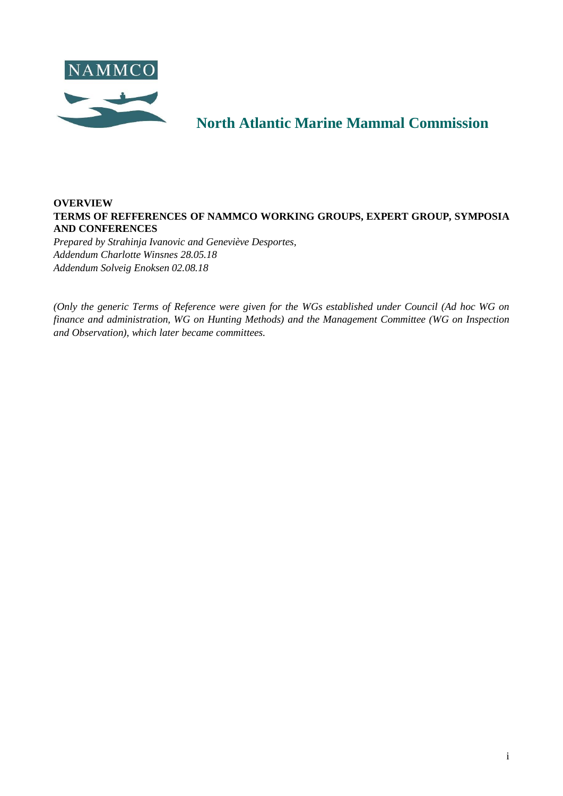<span id="page-0-0"></span>

# **North Atlantic Marine Mammal Commission**

# **OVERVIEW TERMS OF REFFERENCES OF NAMMCO WORKING GROUPS, EXPERT GROUP, SYMPOSIA AND CONFERENCES**

*Prepared by Strahinja Ivanovic and Geneviève Desportes, Addendum Charlotte Winsnes 28.05.18 Addendum Solveig Enoksen 02.08.18*

*(Only the generic Terms of Reference were given for the WGs established under Council (Ad hoc WG on finance and administration, WG on Hunting Methods) and the Management Committee (WG on Inspection and Observation), which later became committees.*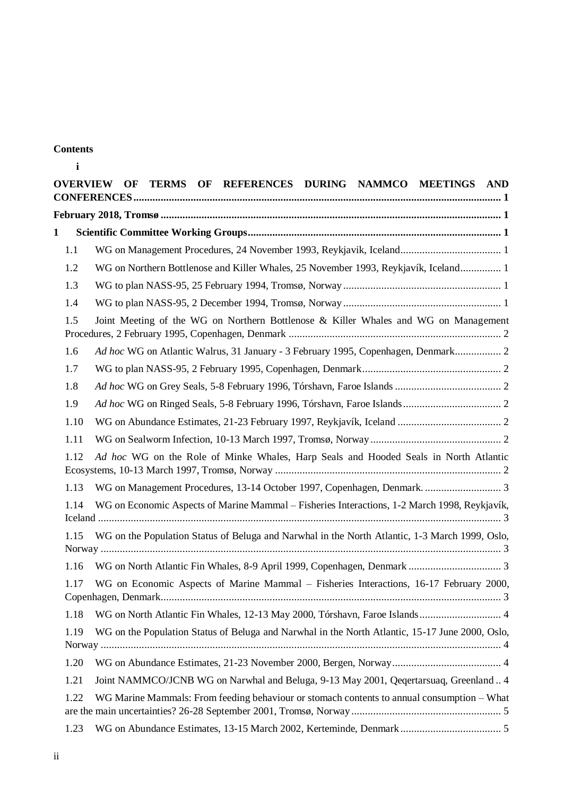# **Contents**

| <b>OVERVIEW</b> | OF TERMS OF REFERENCES DURING NAMMCO MEETINGS AND                                               |  |  |  |  |  |  |
|-----------------|-------------------------------------------------------------------------------------------------|--|--|--|--|--|--|
|                 |                                                                                                 |  |  |  |  |  |  |
| $\mathbf{1}$    |                                                                                                 |  |  |  |  |  |  |
| 1.1             | WG on Management Procedures, 24 November 1993, Reykjavik, Iceland 1                             |  |  |  |  |  |  |
| 1.2             | WG on Northern Bottlenose and Killer Whales, 25 November 1993, Reykjavík, Iceland 1             |  |  |  |  |  |  |
| 1.3             |                                                                                                 |  |  |  |  |  |  |
| 1.4             |                                                                                                 |  |  |  |  |  |  |
| 1.5             | Joint Meeting of the WG on Northern Bottlenose & Killer Whales and WG on Management             |  |  |  |  |  |  |
| 1.6             | Ad hoc WG on Atlantic Walrus, 31 January - 3 February 1995, Copenhagen, Denmark 2               |  |  |  |  |  |  |
| 1.7             |                                                                                                 |  |  |  |  |  |  |
| 1.8             |                                                                                                 |  |  |  |  |  |  |
| 1.9             |                                                                                                 |  |  |  |  |  |  |
| 1.10            |                                                                                                 |  |  |  |  |  |  |
| 1.11            |                                                                                                 |  |  |  |  |  |  |
| 1.12            | Ad hoc WG on the Role of Minke Whales, Harp Seals and Hooded Seals in North Atlantic            |  |  |  |  |  |  |
| 1.13            |                                                                                                 |  |  |  |  |  |  |
| 1.14            | WG on Economic Aspects of Marine Mammal - Fisheries Interactions, 1-2 March 1998, Reykjavík,    |  |  |  |  |  |  |
| 1.15            | WG on the Population Status of Beluga and Narwhal in the North Atlantic, 1-3 March 1999, Oslo,  |  |  |  |  |  |  |
| 1.16            |                                                                                                 |  |  |  |  |  |  |
| 1.17            | WG on Economic Aspects of Marine Mammal – Fisheries Interactions, 16-17 February 2000,          |  |  |  |  |  |  |
| 1.18            |                                                                                                 |  |  |  |  |  |  |
| 1.19            | WG on the Population Status of Beluga and Narwhal in the North Atlantic, 15-17 June 2000, Oslo, |  |  |  |  |  |  |
| 1.20            |                                                                                                 |  |  |  |  |  |  |
| 1.21            | Joint NAMMCO/JCNB WG on Narwhal and Beluga, 9-13 May 2001, Qeqertarsuaq, Greenland 4            |  |  |  |  |  |  |
| 1.22            | WG Marine Mammals: From feeding behaviour or stomach contents to annual consumption – What      |  |  |  |  |  |  |
| 1.23            |                                                                                                 |  |  |  |  |  |  |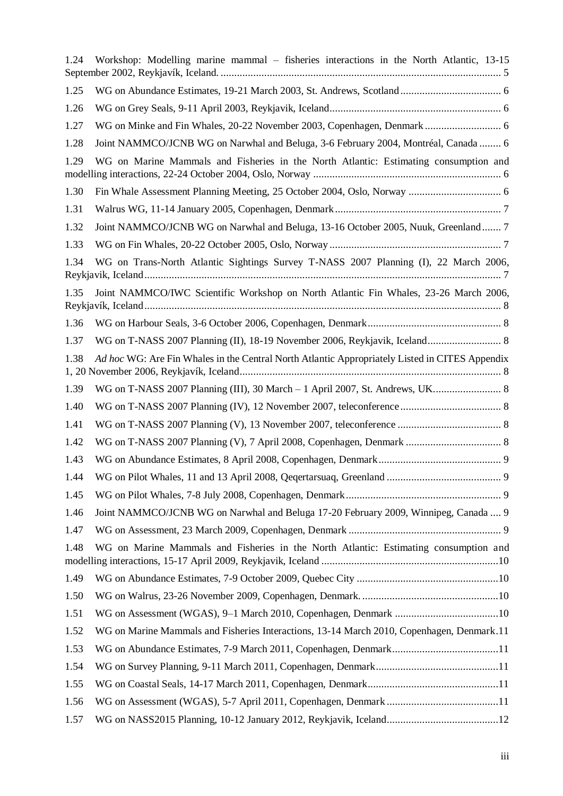| 1.24 | Workshop: Modelling marine mammal – fisheries interactions in the North Atlantic, 13-15        |
|------|------------------------------------------------------------------------------------------------|
| 1.25 |                                                                                                |
| 1.26 |                                                                                                |
| 1.27 |                                                                                                |
| 1.28 | Joint NAMMCO/JCNB WG on Narwhal and Beluga, 3-6 February 2004, Montréal, Canada  6             |
| 1.29 | WG on Marine Mammals and Fisheries in the North Atlantic: Estimating consumption and           |
| 1.30 |                                                                                                |
| 1.31 |                                                                                                |
| 1.32 | Joint NAMMCO/JCNB WG on Narwhal and Beluga, 13-16 October 2005, Nuuk, Greenland 7              |
| 1.33 |                                                                                                |
| 1.34 | WG on Trans-North Atlantic Sightings Survey T-NASS 2007 Planning (I), 22 March 2006,           |
| 1.35 | Joint NAMMCO/IWC Scientific Workshop on North Atlantic Fin Whales, 23-26 March 2006,           |
| 1.36 |                                                                                                |
| 1.37 |                                                                                                |
| 1.38 | Ad hoc WG: Are Fin Whales in the Central North Atlantic Appropriately Listed in CITES Appendix |
| 1.39 |                                                                                                |
| 1.40 |                                                                                                |
| 1.41 |                                                                                                |
| 1.42 |                                                                                                |
| 1.43 |                                                                                                |
| 1.44 |                                                                                                |
| 1.45 |                                                                                                |
| 1.46 | Joint NAMMCO/JCNB WG on Narwhal and Beluga 17-20 February 2009, Winnipeg, Canada  9            |
| 1.47 |                                                                                                |
| 1.48 | WG on Marine Mammals and Fisheries in the North Atlantic: Estimating consumption and           |
| 1.49 |                                                                                                |
| 1.50 |                                                                                                |
| 1.51 |                                                                                                |
| 1.52 | WG on Marine Mammals and Fisheries Interactions, 13-14 March 2010, Copenhagen, Denmark.11      |
| 1.53 |                                                                                                |
| 1.54 |                                                                                                |
| 1.55 |                                                                                                |
| 1.56 |                                                                                                |
| 1.57 |                                                                                                |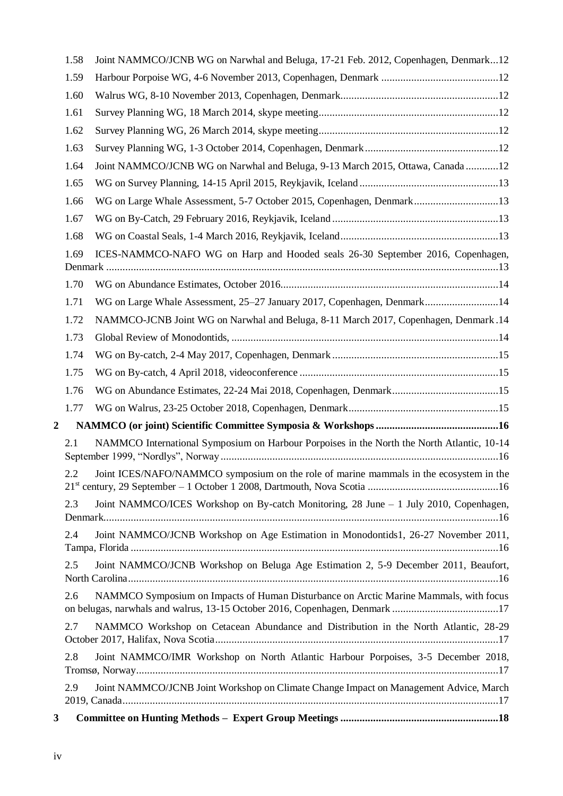|                  | 1.58 | Joint NAMMCO/JCNB WG on Narwhal and Beluga, 17-21 Feb. 2012, Copenhagen, Denmark12                                                                                   |
|------------------|------|----------------------------------------------------------------------------------------------------------------------------------------------------------------------|
|                  | 1.59 |                                                                                                                                                                      |
|                  | 1.60 |                                                                                                                                                                      |
|                  | 1.61 |                                                                                                                                                                      |
|                  | 1.62 |                                                                                                                                                                      |
|                  | 1.63 |                                                                                                                                                                      |
|                  | 1.64 | Joint NAMMCO/JCNB WG on Narwhal and Beluga, 9-13 March 2015, Ottawa, Canada 12                                                                                       |
|                  | 1.65 |                                                                                                                                                                      |
|                  | 1.66 | WG on Large Whale Assessment, 5-7 October 2015, Copenhagen, Denmark13                                                                                                |
|                  | 1.67 |                                                                                                                                                                      |
|                  | 1.68 |                                                                                                                                                                      |
|                  | 1.69 | ICES-NAMMCO-NAFO WG on Harp and Hooded seals 26-30 September 2016, Copenhagen,                                                                                       |
|                  | 1.70 |                                                                                                                                                                      |
|                  | 1.71 | WG on Large Whale Assessment, 25-27 January 2017, Copenhagen, Denmark14                                                                                              |
|                  | 1.72 | NAMMCO-JCNB Joint WG on Narwhal and Beluga, 8-11 March 2017, Copenhagen, Denmark .14                                                                                 |
|                  | 1.73 |                                                                                                                                                                      |
|                  | 1.74 |                                                                                                                                                                      |
|                  | 1.75 |                                                                                                                                                                      |
|                  | 1.76 |                                                                                                                                                                      |
|                  | 1.77 |                                                                                                                                                                      |
| $\boldsymbol{2}$ |      |                                                                                                                                                                      |
|                  | 2.1  | NAMMCO International Symposium on Harbour Porpoises in the North the North Atlantic, 10-14                                                                           |
|                  |      | 2.2 Joint ICES/NAFO/NAMMCO symposium on the role of marine mammals in the ecosystem in the                                                                           |
|                  | 2.3  | Joint NAMMCO/ICES Workshop on By-catch Monitoring, 28 June $-1$ July 2010, Copenhagen,                                                                               |
|                  | 2.4  | Joint NAMMCO/JCNB Workshop on Age Estimation in Monodontids1, 26-27 November 2011,                                                                                   |
|                  | 2.5  | Joint NAMMCO/JCNB Workshop on Beluga Age Estimation 2, 5-9 December 2011, Beaufort,                                                                                  |
|                  | 2.6  | NAMMCO Symposium on Impacts of Human Disturbance on Arctic Marine Mammals, with focus<br>on belugas, narwhals and walrus, 13-15 October 2016, Copenhagen, Denmark 17 |
|                  | 2.7  | NAMMCO Workshop on Cetacean Abundance and Distribution in the North Atlantic, 28-29                                                                                  |
|                  | 2.8  | Joint NAMMCO/IMR Workshop on North Atlantic Harbour Porpoises, 3-5 December 2018,                                                                                    |
|                  | 2.9  | Joint NAMMCO/JCNB Joint Workshop on Climate Change Impact on Management Advice, March                                                                                |
| $\mathbf{3}$     |      |                                                                                                                                                                      |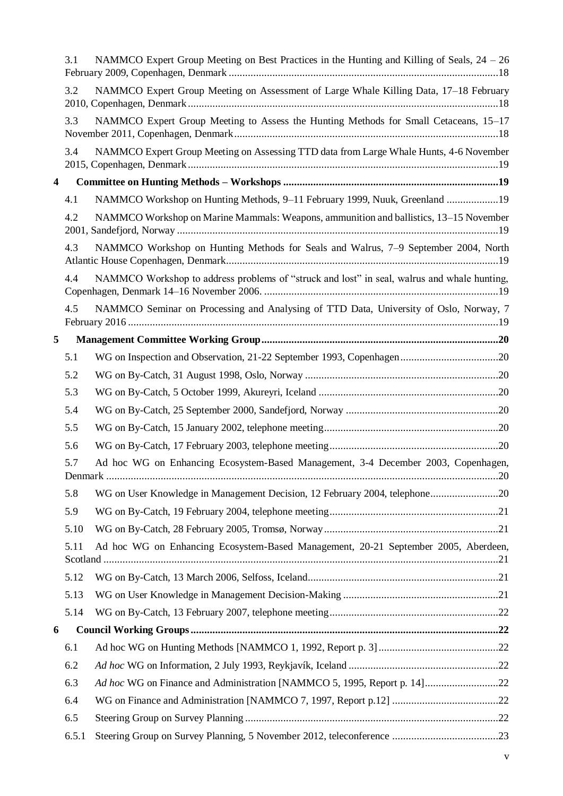|                         | 3.1   | NAMMCO Expert Group Meeting on Best Practices in the Hunting and Killing of Seals, $24 - 26$ |  |
|-------------------------|-------|----------------------------------------------------------------------------------------------|--|
|                         | 3.2   | NAMMCO Expert Group Meeting on Assessment of Large Whale Killing Data, 17-18 February        |  |
|                         | 3.3   | NAMMCO Expert Group Meeting to Assess the Hunting Methods for Small Cetaceans, 15-17         |  |
|                         | 3.4   | NAMMCO Expert Group Meeting on Assessing TTD data from Large Whale Hunts, 4-6 November       |  |
| $\overline{\mathbf{4}}$ |       |                                                                                              |  |
|                         | 4.1   | NAMMCO Workshop on Hunting Methods, 9-11 February 1999, Nuuk, Greenland 19                   |  |
|                         | 4.2   | NAMMCO Workshop on Marine Mammals: Weapons, ammunition and ballistics, 13–15 November        |  |
|                         | 4.3   | NAMMCO Workshop on Hunting Methods for Seals and Walrus, 7–9 September 2004, North           |  |
|                         | 4.4   | NAMMCO Workshop to address problems of "struck and lost" in seal, walrus and whale hunting,  |  |
|                         | 4.5   | NAMMCO Seminar on Processing and Analysing of TTD Data, University of Oslo, Norway, 7        |  |
| 5                       |       |                                                                                              |  |
|                         | 5.1   |                                                                                              |  |
|                         | 5.2   |                                                                                              |  |
|                         | 5.3   |                                                                                              |  |
|                         | 5.4   |                                                                                              |  |
|                         | 5.5   |                                                                                              |  |
|                         | 5.6   |                                                                                              |  |
|                         | 5.7   | Ad hoc WG on Enhancing Ecosystem-Based Management, 3-4 December 2003, Copenhagen,            |  |
|                         | 5.8   | WG on User Knowledge in Management Decision, 12 February 2004, telephone20                   |  |
|                         | 5.9   |                                                                                              |  |
|                         | 5.10  |                                                                                              |  |
|                         | 5.11  | Ad hoc WG on Enhancing Ecosystem-Based Management, 20-21 September 2005, Aberdeen,           |  |
|                         | 5.12  |                                                                                              |  |
|                         | 5.13  |                                                                                              |  |
|                         | 5.14  |                                                                                              |  |
| 6                       |       |                                                                                              |  |
|                         | 6.1   |                                                                                              |  |
|                         | 6.2   |                                                                                              |  |
|                         | 6.3   | Ad hoc WG on Finance and Administration [NAMMCO 5, 1995, Report p. 14]22                     |  |
|                         | 6.4   |                                                                                              |  |
|                         | 6.5   |                                                                                              |  |
|                         | 6.5.1 |                                                                                              |  |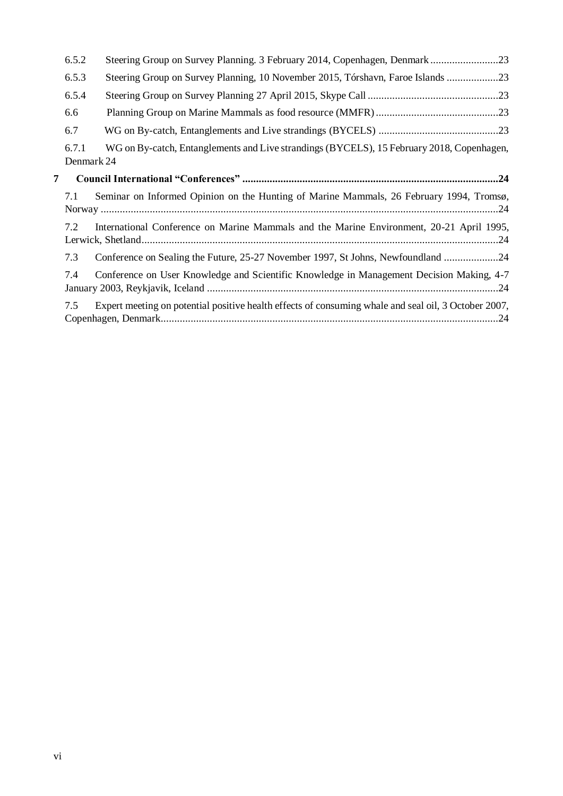|   | 6.5.2               | Steering Group on Survey Planning. 3 February 2014, Copenhagen, Denmark23                            |
|---|---------------------|------------------------------------------------------------------------------------------------------|
|   | 6.5.3               | Steering Group on Survey Planning, 10 November 2015, Tórshavn, Faroe Islands 23                      |
|   | 6.5.4               |                                                                                                      |
|   | 6.6                 |                                                                                                      |
|   | 6.7                 |                                                                                                      |
|   | 6.7.1<br>Denmark 24 | WG on By-catch, Entanglements and Live strandings (BYCELS), 15 February 2018, Copenhagen,            |
| 7 |                     |                                                                                                      |
|   | 7.1                 | Seminar on Informed Opinion on the Hunting of Marine Mammals, 26 February 1994, Tromsø,              |
|   | 7.2                 | International Conference on Marine Mammals and the Marine Environment, 20-21 April 1995,             |
|   | 7.3                 | Conference on Sealing the Future, 25-27 November 1997, St Johns, Newfoundland 24                     |
|   | 7.4                 | Conference on User Knowledge and Scientific Knowledge in Management Decision Making, 4-7             |
|   | 7.5                 | Expert meeting on potential positive health effects of consuming whale and seal oil, 3 October 2007, |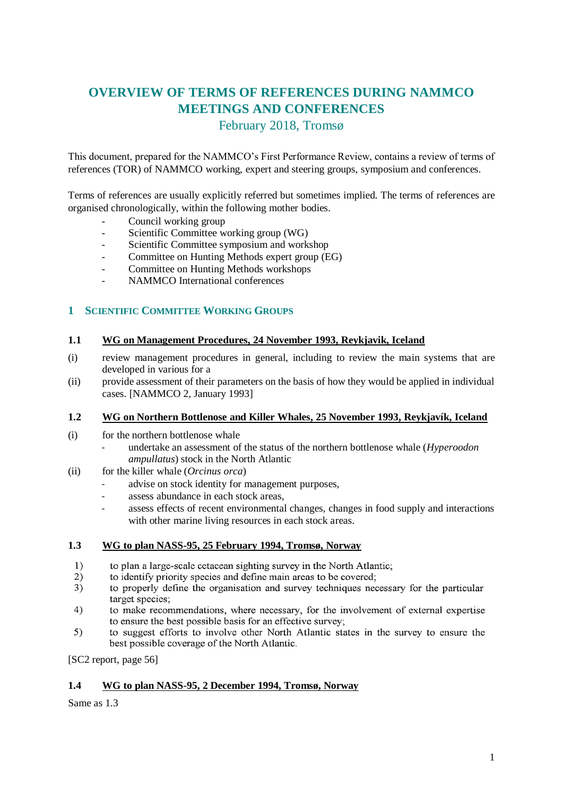# <span id="page-6-0"></span>**OVERVIEW OF TERMS OF REFERENCES DURING NAMMCO MEETINGS AND CONFERENCES**

February 2018, Tromsø

<span id="page-6-1"></span>This document, prepared for the NAMMCO's First Performance Review, contains a review of terms of references (TOR) of NAMMCO working, expert and steering groups, symposium and conferences.

Terms of references are usually explicitly referred but sometimes implied. The terms of references are organised chronologically, within the following mother bodies.

- Council working group
- Scientific Committee working group (WG)
- Scientific Committee symposium and workshop
- Committee on Hunting Methods expert group (EG)
- Committee on Hunting Methods workshops
- NAMMCO International conferences

# <span id="page-6-2"></span>**1 SCIENTIFIC COMMITTEE WORKING GROUPS**

# <span id="page-6-3"></span>**1.1 WG on Management Procedures, 24 November 1993, Reykjavik, Iceland**

- (i) review management procedures in general, including to review the main systems that are developed in various for a
- (ii) provide assessment of their parameters on the basis of how they would be applied in individual cases. [NAMMCO 2, January 1993]

#### <span id="page-6-4"></span>**1.2 WG on Northern Bottlenose and Killer Whales, 25 November 1993, Reykjavík, Iceland**

- (i) for the northern bottlenose whale
	- undertake an assessment of the status of the northern bottlenose whale (*Hyperoodon ampullatus*) stock in the North Atlantic
- (ii) for the killer whale (*Orcinus orca*)
	- advise on stock identity for management purposes,
	- assess abundance in each stock areas,
	- assess effects of recent environmental changes, changes in food supply and interactions with other marine living resources in each stock areas.

#### <span id="page-6-5"></span>**1.3 WG to plan NASS-95, 25 February 1994, Tromsø, Norway**

- to plan a large-scale cetacean sighting survey in the North Atlantic:  $\overline{1}$
- to identify priority species and define main areas to be covered;  $2)$
- $3)$ to properly define the organisation and survey techniques necessary for the particular target species;
- $4)$ to make recommendations, where necessary, for the involvement of external expertise to ensure the best possible basis for an effective survey:
- $5)$ to suggest efforts to involve other North Atlantic states in the survey to ensure the best possible coverage of the North Atlantic.

[SC2 report, page 56]

# <span id="page-6-6"></span>**1.4 WG to plan NASS-95, 2 December 1994, Tromsø, Norway**

Same as 1.3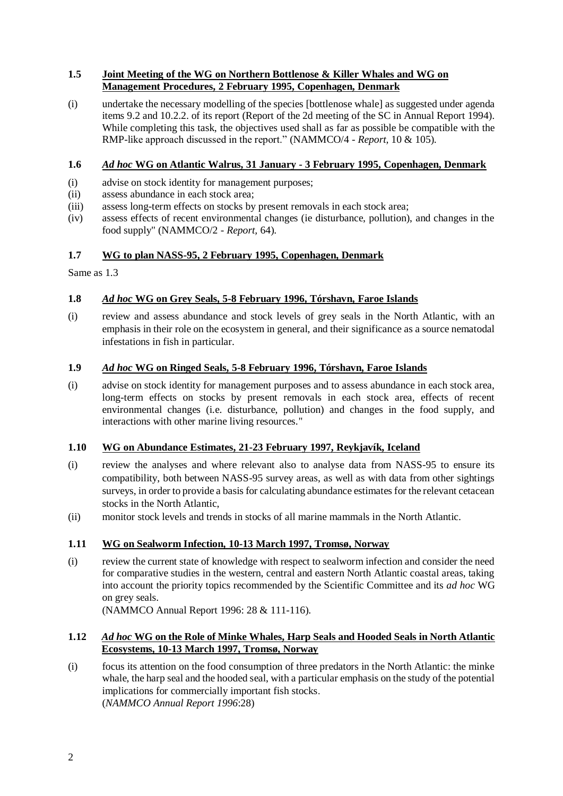# <span id="page-7-0"></span>**1.5 Joint Meeting of the WG on Northern Bottlenose & Killer Whales and WG on Management Procedures, 2 February 1995, Copenhagen, Denmark**

(i) undertake the necessary modelling of the species [bottlenose whale] as suggested under agenda items 9.2 and 10.2.2. of its report (Report of the 2d meeting of the SC in Annual Report 1994). While completing this task, the objectives used shall as far as possible be compatible with the RMP-like approach discussed in the report." (NAMMCO/4 - *Report,* 10 & 105).

# <span id="page-7-1"></span>**1.6** *Ad hoc* **WG on Atlantic Walrus, 31 January - 3 February 1995, Copenhagen, Denmark**

- (i) advise on stock identity for management purposes;
- (ii) assess abundance in each stock area;
- (iii) assess long-term effects on stocks by present removals in each stock area;
- (iv) assess effects of recent environmental changes (ie disturbance, pollution), and changes in the food supply" (NAMMCO/2 - *Report,* 64).

# <span id="page-7-2"></span>**1.7 WG to plan NASS-95, 2 February 1995, Copenhagen, Denmark**

Same as 1.3

# <span id="page-7-3"></span>**1.8** *Ad hoc* **WG on Grey Seals, 5-8 February 1996, Tórshavn, Faroe Islands**

(i) review and assess abundance and stock levels of grey seals in the North Atlantic, with an emphasis in their role on the ecosystem in general, and their significance as a source nematodal infestations in fish in particular.

# <span id="page-7-4"></span>**1.9** *Ad hoc* **WG on Ringed Seals, 5-8 February 1996, Tórshavn, Faroe Islands**

(i) advise on stock identity for management purposes and to assess abundance in each stock area, long-term effects on stocks by present removals in each stock area, effects of recent environmental changes (i.e. disturbance, pollution) and changes in the food supply, and interactions with other marine living resources."

# <span id="page-7-5"></span>**1.10 WG on Abundance Estimates, 21-23 February 1997, Reykjavík, Iceland**

- (i) review the analyses and where relevant also to analyse data from NASS-95 to ensure its compatibility, both between NASS-95 survey areas, as well as with data from other sightings surveys, in order to provide a basis for calculating abundance estimates for the relevant cetacean stocks in the North Atlantic,
- (ii) monitor stock levels and trends in stocks of all marine mammals in the North Atlantic.

# <span id="page-7-6"></span>**1.11 WG on Sealworm Infection, 10-13 March 1997, Tromsø, Norway**

(i) review the current state of knowledge with respect to sealworm infection and consider the need for comparative studies in the western, central and eastern North Atlantic coastal areas, taking into account the priority topics recommended by the Scientific Committee and its *ad hoc* WG on grey seals.

(NAMMCO Annual Report 1996: 28 & 111-116).

#### <span id="page-7-7"></span>**1.12** *Ad hoc* **WG on the Role of Minke Whales, Harp Seals and Hooded Seals in North Atlantic Ecosystems, 10-13 March 1997, Tromsø, Norway**

(i) focus its attention on the food consumption of three predators in the North Atlantic: the minke whale, the harp seal and the hooded seal, with a particular emphasis on the study of the potential implications for commercially important fish stocks (*NAMMCO Annual Report 1996*:28)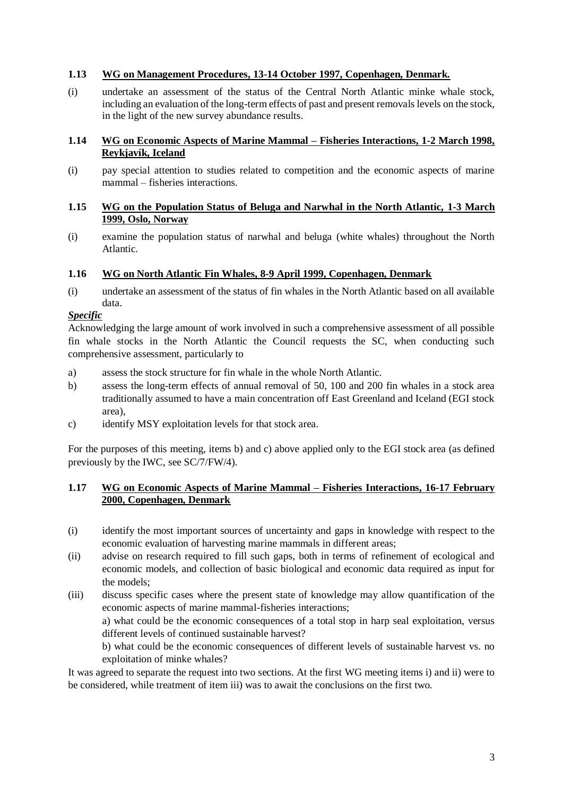#### <span id="page-8-0"></span>**1.13 WG on Management Procedures, 13-14 October 1997, Copenhagen, Denmark.**

(i) undertake an assessment of the status of the Central North Atlantic minke whale stock, including an evaluation of the long-term effects of past and present removals levels on the stock, in the light of the new survey abundance results.

### <span id="page-8-1"></span>**1.14 WG on Economic Aspects of Marine Mammal – Fisheries Interactions, 1-2 March 1998, Reykjavík, Iceland**

(i) pay special attention to studies related to competition and the economic aspects of marine mammal – fisheries interactions.

### <span id="page-8-2"></span>**1.15 WG on the Population Status of Beluga and Narwhal in the North Atlantic, 1-3 March 1999, Oslo, Norway**

(i) examine the population status of narwhal and beluga (white whales) throughout the North Atlantic.

#### <span id="page-8-3"></span>**1.16 WG on North Atlantic Fin Whales, 8-9 April 1999, Copenhagen, Denmark**

(i) undertake an assessment of the status of fin whales in the North Atlantic based on all available data.

#### *Specific*

Acknowledging the large amount of work involved in such a comprehensive assessment of all possible fin whale stocks in the North Atlantic the Council requests the SC, when conducting such comprehensive assessment, particularly to

- a) assess the stock structure for fin whale in the whole North Atlantic.
- b) assess the long-term effects of annual removal of 50, 100 and 200 fin whales in a stock area traditionally assumed to have a main concentration off East Greenland and Iceland (EGI stock area),
- c) identify MSY exploitation levels for that stock area.

For the purposes of this meeting, items b) and c) above applied only to the EGI stock area (as defined previously by the IWC, see SC/7/FW/4).

#### <span id="page-8-4"></span>**1.17 WG on Economic Aspects of Marine Mammal – Fisheries Interactions, 16-17 February 2000, Copenhagen, Denmark**

- (i) identify the most important sources of uncertainty and gaps in knowledge with respect to the economic evaluation of harvesting marine mammals in different areas;
- (ii) advise on research required to fill such gaps, both in terms of refinement of ecological and economic models, and collection of basic biological and economic data required as input for the models;
- (iii) discuss specific cases where the present state of knowledge may allow quantification of the economic aspects of marine mammal-fisheries interactions;

a) what could be the economic consequences of a total stop in harp seal exploitation, versus different levels of continued sustainable harvest?

b) what could be the economic consequences of different levels of sustainable harvest vs. no exploitation of minke whales?

It was agreed to separate the request into two sections. At the first WG meeting items i) and ii) were to be considered, while treatment of item iii) was to await the conclusions on the first two.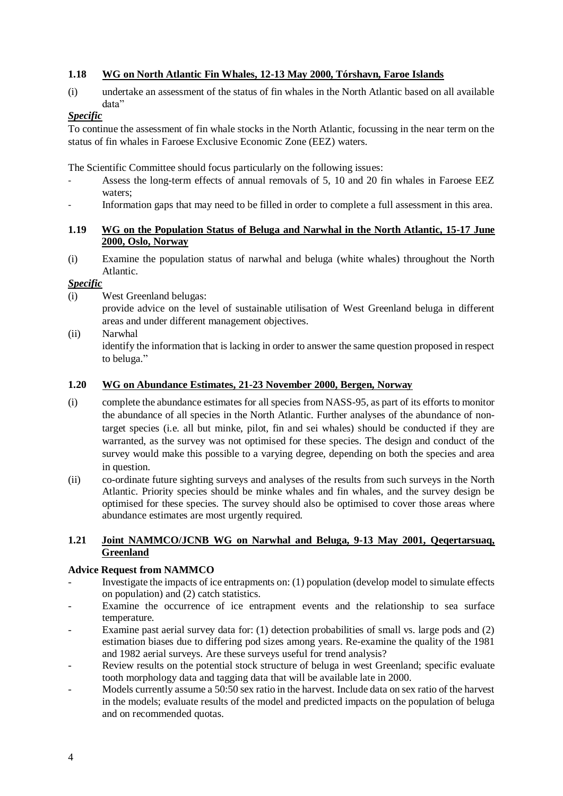# <span id="page-9-0"></span>**1.18 WG on North Atlantic Fin Whales, 12-13 May 2000, Tórshavn, Faroe Islands**

(i) undertake an assessment of the status of fin whales in the North Atlantic based on all available data"

# *Specific*

To continue the assessment of fin whale stocks in the North Atlantic, focussing in the near term on the status of fin whales in Faroese Exclusive Economic Zone (EEZ) waters.

The Scientific Committee should focus particularly on the following issues:

- Assess the long-term effects of annual removals of 5, 10 and 20 fin whales in Faroese EEZ waters;
- Information gaps that may need to be filled in order to complete a full assessment in this area.

# <span id="page-9-1"></span>**1.19 WG on the Population Status of Beluga and Narwhal in the North Atlantic, 15-17 June 2000, Oslo, Norway**

(i) Examine the population status of narwhal and beluga (white whales) throughout the North Atlantic.

# *Specific*

(i) West Greenland belugas:

provide advice on the level of sustainable utilisation of West Greenland beluga in different areas and under different management objectives.

(ii) Narwhal

identify the information that is lacking in order to answer the same question proposed in respect to beluga."

# <span id="page-9-2"></span>**1.20 WG on Abundance Estimates, 21-23 November 2000, Bergen, Norway**

- (i) complete the abundance estimates for all species from NASS-95, as part of its efforts to monitor the abundance of all species in the North Atlantic. Further analyses of the abundance of nontarget species (i.e. all but minke, pilot, fin and sei whales) should be conducted if they are warranted, as the survey was not optimised for these species. The design and conduct of the survey would make this possible to a varying degree, depending on both the species and area in question.
- (ii) co-ordinate future sighting surveys and analyses of the results from such surveys in the North Atlantic. Priority species should be minke whales and fin whales, and the survey design be optimised for these species. The survey should also be optimised to cover those areas where abundance estimates are most urgently required.

#### <span id="page-9-3"></span>**1.21 Joint NAMMCO/JCNB WG on Narwhal and Beluga, 9-13 May 2001, Qeqertarsuaq, Greenland**

# **Advice Request from NAMMCO**

- Investigate the impacts of ice entrapments on: (1) population (develop model to simulate effects on population) and (2) catch statistics.
- Examine the occurrence of ice entrapment events and the relationship to sea surface temperature.
- Examine past aerial survey data for: (1) detection probabilities of small vs. large pods and (2) estimation biases due to differing pod sizes among years. Re-examine the quality of the 1981 and 1982 aerial surveys. Are these surveys useful for trend analysis?
- Review results on the potential stock structure of beluga in west Greenland; specific evaluate tooth morphology data and tagging data that will be available late in 2000.
- Models currently assume a 50:50 sex ratio in the harvest. Include data on sex ratio of the harvest in the models; evaluate results of the model and predicted impacts on the population of beluga and on recommended quotas.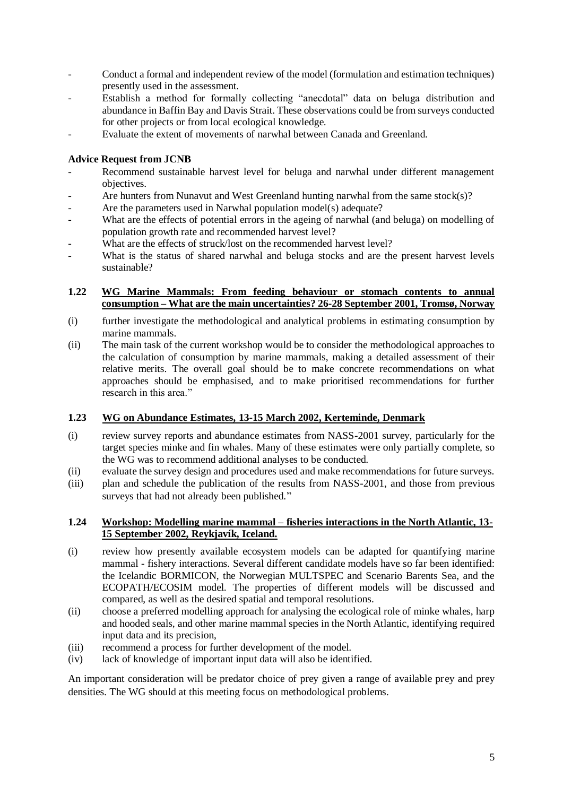- Conduct a formal and independent review of the model (formulation and estimation techniques) presently used in the assessment.
- Establish a method for formally collecting "anecdotal" data on beluga distribution and abundance in Baffin Bay and Davis Strait. These observations could be from surveys conducted for other projects or from local ecological knowledge.
- Evaluate the extent of movements of narwhal between Canada and Greenland.

### **Advice Request from JCNB**

- Recommend sustainable harvest level for beluga and narwhal under different management objectives.
- Are hunters from Nunavut and West Greenland hunting narwhal from the same stock(s)?
- Are the parameters used in Narwhal population model(s) adequate?
- What are the effects of potential errors in the ageing of narwhal (and beluga) on modelling of population growth rate and recommended harvest level?
- What are the effects of struck/lost on the recommended harvest level?
- What is the status of shared narwhal and beluga stocks and are the present harvest levels sustainable?

#### <span id="page-10-0"></span>**1.22 WG Marine Mammals: From feeding behaviour or stomach contents to annual consumption – What are the main uncertainties? 26-28 September 2001, Tromsø, Norway**

- (i) further investigate the methodological and analytical problems in estimating consumption by marine mammals.
- (ii) The main task of the current workshop would be to consider the methodological approaches to the calculation of consumption by marine mammals, making a detailed assessment of their relative merits. The overall goal should be to make concrete recommendations on what approaches should be emphasised, and to make prioritised recommendations for further research in this area."

# <span id="page-10-1"></span>**1.23 WG on Abundance Estimates, 13-15 March 2002, Kerteminde, Denmark**

- (i) review survey reports and abundance estimates from NASS-2001 survey, particularly for the target species minke and fin whales. Many of these estimates were only partially complete, so the WG was to recommend additional analyses to be conducted.
- (ii) evaluate the survey design and procedures used and make recommendations for future surveys.
- (iii) plan and schedule the publication of the results from NASS-2001, and those from previous surveys that had not already been published."

#### <span id="page-10-2"></span>**1.24 Workshop: Modelling marine mammal – fisheries interactions in the North Atlantic, 13- 15 September 2002, Reykjavík, Iceland.**

- (i) review how presently available ecosystem models can be adapted for quantifying marine mammal - fishery interactions. Several different candidate models have so far been identified: the Icelandic BORMICON, the Norwegian MULTSPEC and Scenario Barents Sea, and the ECOPATH/ECOSIM model. The properties of different models will be discussed and compared, as well as the desired spatial and temporal resolutions.
- (ii) choose a preferred modelling approach for analysing the ecological role of minke whales, harp and hooded seals, and other marine mammal species in the North Atlantic, identifying required input data and its precision,
- (iii) recommend a process for further development of the model.
- (iv) lack of knowledge of important input data will also be identified.

An important consideration will be predator choice of prey given a range of available prey and prey densities. The WG should at this meeting focus on methodological problems.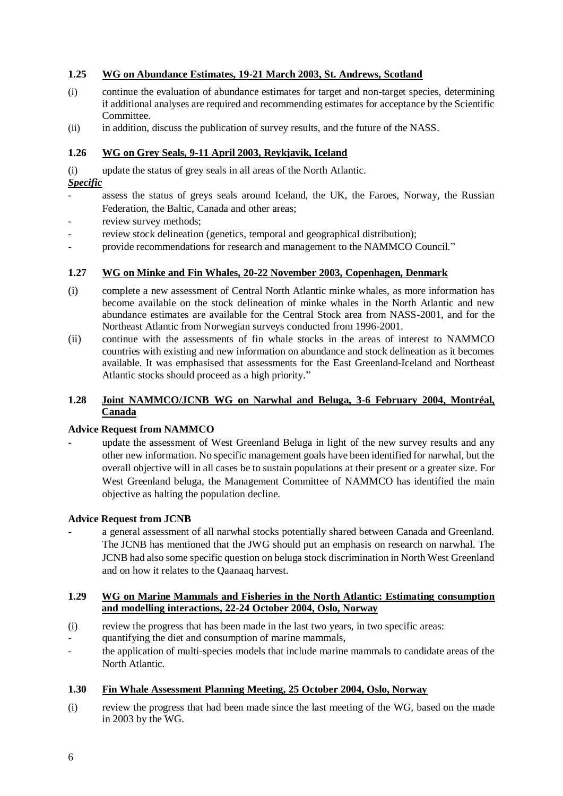# <span id="page-11-0"></span>**1.25 WG on Abundance Estimates, 19-21 March 2003, St. Andrews, Scotland**

- (i) continue the evaluation of abundance estimates for target and non-target species, determining if additional analyses are required and recommending estimates for acceptance by the Scientific Committee.
- (ii) in addition, discuss the publication of survey results, and the future of the NASS.

# <span id="page-11-1"></span>**1.26 WG on Grey Seals, 9-11 April 2003, Reykjavik, Iceland**

(i) update the status of grey seals in all areas of the North Atlantic.

# *Specific*

- assess the status of greys seals around Iceland, the UK, the Faroes, Norway, the Russian Federation, the Baltic, Canada and other areas;
- review survey methods;
- review stock delineation (genetics, temporal and geographical distribution);
- provide recommendations for research and management to the NAMMCO Council."

# <span id="page-11-2"></span>**1.27 WG on Minke and Fin Whales, 20-22 November 2003, Copenhagen, Denmark**

- (i) complete a new assessment of Central North Atlantic minke whales, as more information has become available on the stock delineation of minke whales in the North Atlantic and new abundance estimates are available for the Central Stock area from NASS-2001, and for the Northeast Atlantic from Norwegian surveys conducted from 1996-2001.
- (ii) continue with the assessments of fin whale stocks in the areas of interest to NAMMCO countries with existing and new information on abundance and stock delineation as it becomes available. It was emphasised that assessments for the East Greenland-Iceland and Northeast Atlantic stocks should proceed as a high priority."

# <span id="page-11-3"></span>**1.28 Joint NAMMCO/JCNB WG on Narwhal and Beluga, 3-6 February 2004, Montréal, Canada**

# **Advice Request from NAMMCO**

update the assessment of West Greenland Beluga in light of the new survey results and any other new information. No specific management goals have been identified for narwhal, but the overall objective will in all cases be to sustain populations at their present or a greater size. For West Greenland beluga, the Management Committee of NAMMCO has identified the main objective as halting the population decline.

# **Advice Request from JCNB**

a general assessment of all narwhal stocks potentially shared between Canada and Greenland. The JCNB has mentioned that the JWG should put an emphasis on research on narwhal. The JCNB had also some specific question on beluga stock discrimination in North West Greenland and on how it relates to the Qaanaaq harvest.

#### <span id="page-11-4"></span>**1.29 WG on Marine Mammals and Fisheries in the North Atlantic: Estimating consumption and modelling interactions, 22-24 October 2004, Oslo, Norway**

- (i) review the progress that has been made in the last two years, in two specific areas:
- quantifying the diet and consumption of marine mammals,
- the application of multi-species models that include marine mammals to candidate areas of the North Atlantic.

# <span id="page-11-5"></span>**1.30 Fin Whale Assessment Planning Meeting, 25 October 2004, Oslo, Norway**

(i) review the progress that had been made since the last meeting of the WG, based on the made in 2003 by the WG.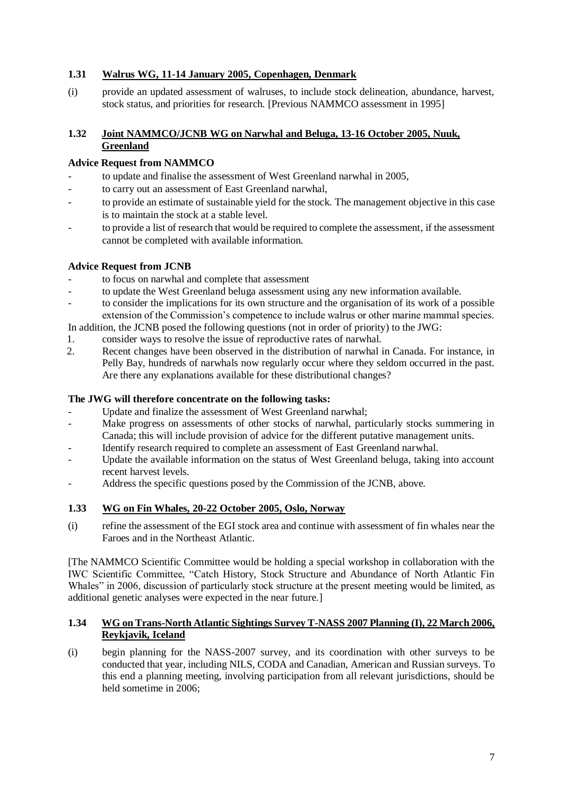# <span id="page-12-0"></span>**1.31 Walrus WG, 11-14 January 2005, Copenhagen, Denmark**

(i) provide an updated assessment of walruses, to include stock delineation, abundance, harvest, stock status, and priorities for research. [Previous NAMMCO assessment in 1995]

# <span id="page-12-1"></span>**1.32 Joint NAMMCO/JCNB WG on Narwhal and Beluga, 13-16 October 2005, Nuuk, Greenland**

### **Advice Request from NAMMCO**

- to update and finalise the assessment of West Greenland narwhal in 2005,
- to carry out an assessment of East Greenland narwhal,
- to provide an estimate of sustainable yield for the stock. The management objective in this case is to maintain the stock at a stable level.
- to provide a list of research that would be required to complete the assessment, if the assessment cannot be completed with available information.

#### **Advice Request from JCNB**

- to focus on narwhal and complete that assessment
- to update the West Greenland beluga assessment using any new information available.
- to consider the implications for its own structure and the organisation of its work of a possible extension of the Commission's competence to include walrus or other marine mammal species.

In addition, the JCNB posed the following questions (not in order of priority) to the JWG:

- 1. consider ways to resolve the issue of reproductive rates of narwhal.
- 2. Recent changes have been observed in the distribution of narwhal in Canada. For instance, in Pelly Bay, hundreds of narwhals now regularly occur where they seldom occurred in the past. Are there any explanations available for these distributional changes?

#### **The JWG will therefore concentrate on the following tasks:**

- Update and finalize the assessment of West Greenland narwhal;
- Make progress on assessments of other stocks of narwhal, particularly stocks summering in Canada; this will include provision of advice for the different putative management units.
- Identify research required to complete an assessment of East Greenland narwhal.
- Update the available information on the status of West Greenland beluga, taking into account recent harvest levels.
- Address the specific questions posed by the Commission of the JCNB, above.

# <span id="page-12-2"></span>**1.33 WG on Fin Whales, 20-22 October 2005, Oslo, Norway**

(i) refine the assessment of the EGI stock area and continue with assessment of fin whales near the Faroes and in the Northeast Atlantic.

[The NAMMCO Scientific Committee would be holding a special workshop in collaboration with the IWC Scientific Committee, "Catch History, Stock Structure and Abundance of North Atlantic Fin Whales" in 2006, discussion of particularly stock structure at the present meeting would be limited, as additional genetic analyses were expected in the near future.]

#### <span id="page-12-3"></span>**1.34 WG on Trans-North Atlantic Sightings Survey T-NASS 2007 Planning (I), 22 March 2006, Reykjavik, Iceland**

(i) begin planning for the NASS-2007 survey, and its coordination with other surveys to be conducted that year, including NILS, CODA and Canadian, American and Russian surveys. To this end a planning meeting, involving participation from all relevant jurisdictions, should be held sometime in 2006;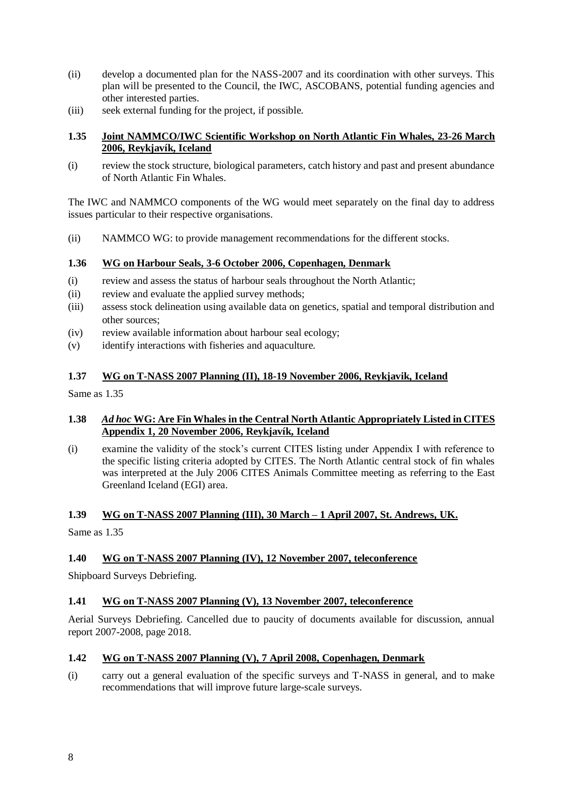- (ii) develop a documented plan for the NASS-2007 and its coordination with other surveys. This plan will be presented to the Council, the IWC, ASCOBANS, potential funding agencies and other interested parties.
- (iii) seek external funding for the project, if possible.

# <span id="page-13-0"></span>**1.35 Joint NAMMCO/IWC Scientific Workshop on North Atlantic Fin Whales, 23-26 March 2006, Reykjavík, Iceland**

(i) review the stock structure, biological parameters, catch history and past and present abundance of North Atlantic Fin Whales.

The IWC and NAMMCO components of the WG would meet separately on the final day to address issues particular to their respective organisations.

(ii) NAMMCO WG: to provide management recommendations for the different stocks.

# <span id="page-13-1"></span>**1.36 WG on Harbour Seals, 3-6 October 2006, Copenhagen, Denmark**

- (i) review and assess the status of harbour seals throughout the North Atlantic;
- (ii) review and evaluate the applied survey methods;
- (iii) assess stock delineation using available data on genetics, spatial and temporal distribution and other sources;
- (iv) review available information about harbour seal ecology;
- (v) identify interactions with fisheries and aquaculture.

#### <span id="page-13-2"></span>**1.37 WG on T-NASS 2007 Planning (II), 18-19 November 2006, Reykjavik, Iceland**

Same as 1.35

#### <span id="page-13-3"></span>**1.38** *Ad hoc* **WG: Are Fin Whales in the Central North Atlantic Appropriately Listed in CITES Appendix 1, 20 November 2006, Reykjavík, Iceland**

(i) examine the validity of the stock's current CITES listing under Appendix I with reference to the specific listing criteria adopted by CITES. The North Atlantic central stock of fin whales was interpreted at the July 2006 CITES Animals Committee meeting as referring to the East Greenland Iceland (EGI) area.

#### <span id="page-13-4"></span>**1.39 WG on T-NASS 2007 Planning (III), 30 March – 1 April 2007, St. Andrews, UK.**

Same as 1.35

# <span id="page-13-5"></span>**1.40 WG on T-NASS 2007 Planning (IV), 12 November 2007, teleconference**

Shipboard Surveys Debriefing.

# <span id="page-13-6"></span>**1.41 WG on T-NASS 2007 Planning (V), 13 November 2007, teleconference**

Aerial Surveys Debriefing. Cancelled due to paucity of documents available for discussion, annual report 2007-2008, page 2018.

#### <span id="page-13-7"></span>**1.42 WG on T-NASS 2007 Planning (V), 7 April 2008, Copenhagen, Denmark**

(i) carry out a general evaluation of the specific surveys and T-NASS in general, and to make recommendations that will improve future large-scale surveys.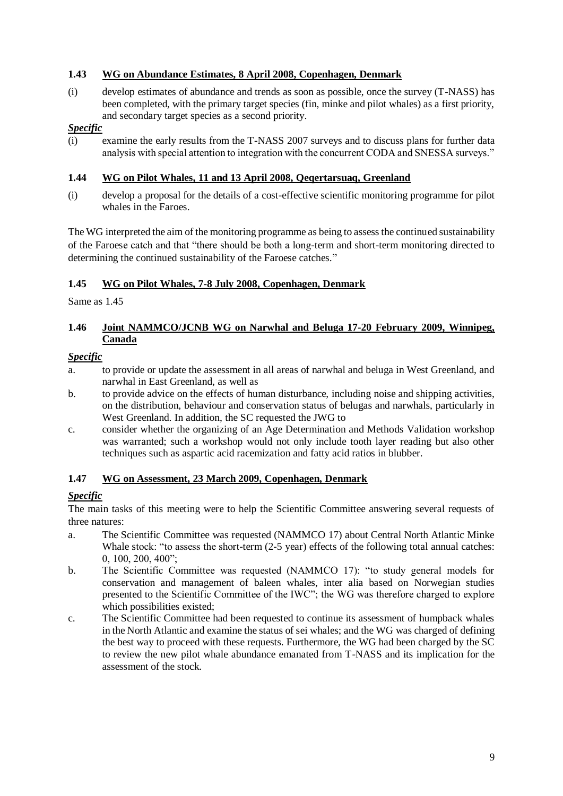# <span id="page-14-0"></span>**1.43 WG on Abundance Estimates, 8 April 2008, Copenhagen, Denmark**

(i) develop estimates of abundance and trends as soon as possible, once the survey (T-NASS) has been completed, with the primary target species (fin, minke and pilot whales) as a first priority, and secondary target species as a second priority.

# *Specific*

(i) examine the early results from the T-NASS 2007 surveys and to discuss plans for further data analysis with special attention to integration with the concurrent CODA and SNESSA surveys."

# <span id="page-14-1"></span>**1.44 WG on Pilot Whales, 11 and 13 April 2008, Qeqertarsuaq, Greenland**

(i) develop a proposal for the details of a cost-effective scientific monitoring programme for pilot whales in the Faroes.

The WG interpreted the aim of the monitoring programme as being to assess the continued sustainability of the Faroese catch and that "there should be both a long-term and short-term monitoring directed to determining the continued sustainability of the Faroese catches."

# <span id="page-14-2"></span>**1.45 WG on Pilot Whales, 7-8 July 2008, Copenhagen, Denmark**

Same as 1.45

# <span id="page-14-3"></span>**1.46 Joint NAMMCO/JCNB WG on Narwhal and Beluga 17-20 February 2009, Winnipeg, Canada**

# *Specific*

- a. to provide or update the assessment in all areas of narwhal and beluga in West Greenland, and narwhal in East Greenland, as well as
- b. to provide advice on the effects of human disturbance, including noise and shipping activities, on the distribution, behaviour and conservation status of belugas and narwhals, particularly in West Greenland. In addition, the SC requested the JWG to
- c. consider whether the organizing of an Age Determination and Methods Validation workshop was warranted; such a workshop would not only include tooth layer reading but also other techniques such as aspartic acid racemization and fatty acid ratios in blubber.

# <span id="page-14-4"></span>**1.47 WG on Assessment, 23 March 2009, Copenhagen, Denmark**

# *Specific*

The main tasks of this meeting were to help the Scientific Committee answering several requests of three natures:

- a. The Scientific Committee was requested (NAMMCO 17) about Central North Atlantic Minke Whale stock: "to assess the short-term  $(2-5 \text{ year})$  effects of the following total annual catches: 0, 100, 200, 400";
- b. The Scientific Committee was requested (NAMMCO 17): "to study general models for conservation and management of baleen whales, inter alia based on Norwegian studies presented to the Scientific Committee of the IWC"; the WG was therefore charged to explore which possibilities existed;
- c. The Scientific Committee had been requested to continue its assessment of humpback whales in the North Atlantic and examine the status of sei whales; and the WG was charged of defining the best way to proceed with these requests. Furthermore, the WG had been charged by the SC to review the new pilot whale abundance emanated from T-NASS and its implication for the assessment of the stock.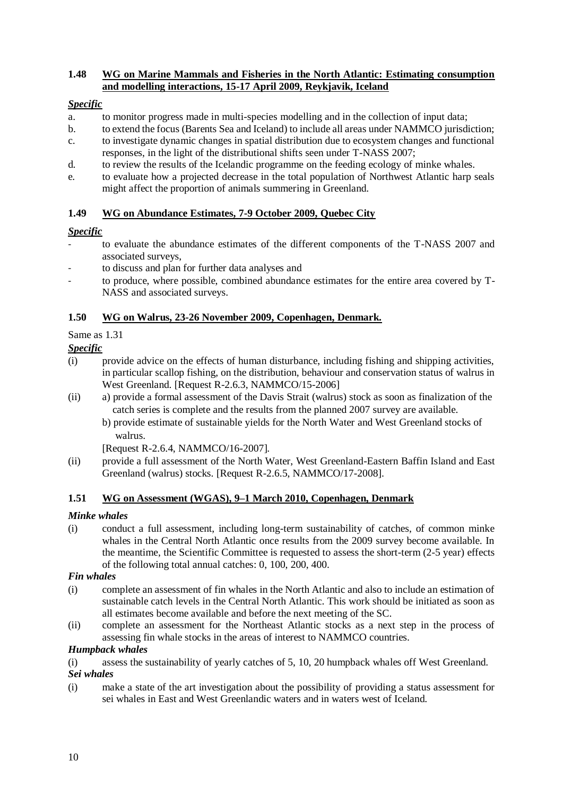# <span id="page-15-0"></span>**1.48 WG on Marine Mammals and Fisheries in the North Atlantic: Estimating consumption and modelling interactions, 15-17 April 2009, Reykjavik, Iceland**

# *Specific*

- a. to monitor progress made in multi-species modelling and in the collection of input data;
- b. to extend the focus (Barents Sea and Iceland) to include all areas under NAMMCO jurisdiction;
- c. to investigate dynamic changes in spatial distribution due to ecosystem changes and functional responses, in the light of the distributional shifts seen under T-NASS 2007;
- d. to review the results of the Icelandic programme on the feeding ecology of minke whales.
- e. to evaluate how a projected decrease in the total population of Northwest Atlantic harp seals might affect the proportion of animals summering in Greenland.

# <span id="page-15-1"></span>**1.49 WG on Abundance Estimates, 7-9 October 2009, Quebec City**

# *Specific*

- to evaluate the abundance estimates of the different components of the T-NASS 2007 and associated surveys,
- to discuss and plan for further data analyses and
- to produce, where possible, combined abundance estimates for the entire area covered by T-NASS and associated surveys.

# <span id="page-15-2"></span>**1.50 WG on Walrus, 23-26 November 2009, Copenhagen, Denmark.**

Same as 1.31

# *Specific*

- (i) provide advice on the effects of human disturbance, including fishing and shipping activities, in particular scallop fishing, on the distribution, behaviour and conservation status of walrus in West Greenland. [Request R-2.6.3, NAMMCO/15-2006]
- (ii) a) provide a formal assessment of the Davis Strait (walrus) stock as soon as finalization of the catch series is complete and the results from the planned 2007 survey are available.
	- b) provide estimate of sustainable yields for the North Water and West Greenland stocks of walrus.

[Request R-2.6.4, NAMMCO/16-2007].

(ii) provide a full assessment of the North Water, West Greenland-Eastern Baffin Island and East Greenland (walrus) stocks. [Request R-2.6.5, NAMMCO/17-2008].

# <span id="page-15-3"></span>**1.51 WG on Assessment (WGAS), 9–1 March 2010, Copenhagen, Denmark**

# *Minke whales*

(i) conduct a full assessment, including long-term sustainability of catches, of common minke whales in the Central North Atlantic once results from the 2009 survey become available. In the meantime, the Scientific Committee is requested to assess the short-term (2-5 year) effects of the following total annual catches: 0, 100, 200, 400.

# *Fin whales*

- (i) complete an assessment of fin whales in the North Atlantic and also to include an estimation of sustainable catch levels in the Central North Atlantic. This work should be initiated as soon as all estimates become available and before the next meeting of the SC.
- (ii) complete an assessment for the Northeast Atlantic stocks as a next step in the process of assessing fin whale stocks in the areas of interest to NAMMCO countries.

# *Humpback whales*

(i) assess the sustainability of yearly catches of 5, 10, 20 humpback whales off West Greenland.

# *Sei whales*

(i) make a state of the art investigation about the possibility of providing a status assessment for sei whales in East and West Greenlandic waters and in waters west of Iceland.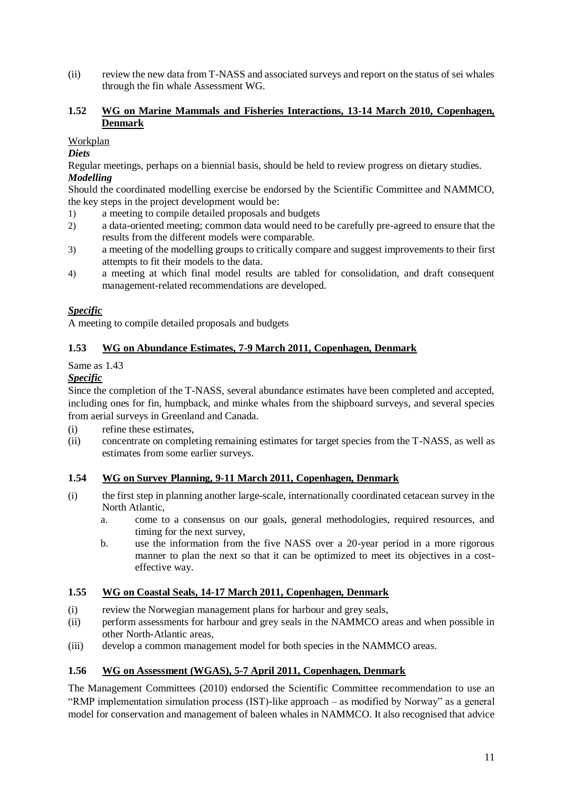(ii) review the new data from T-NASS and associated surveys and report on the status of sei whales through the fin whale Assessment WG.

# <span id="page-16-0"></span>**1.52 WG on Marine Mammals and Fisheries Interactions, 13-14 March 2010, Copenhagen, Denmark**

Workplan

#### *Diets*

Regular meetings, perhaps on a biennial basis, should be held to review progress on dietary studies. *Modelling* 

Should the coordinated modelling exercise be endorsed by the Scientific Committee and NAMMCO, the key steps in the project development would be:

- 1) a meeting to compile detailed proposals and budgets
- 2) a data-oriented meeting; common data would need to be carefully pre-agreed to ensure that the results from the different models were comparable.
- 3) a meeting of the modelling groups to critically compare and suggest improvements to their first attempts to fit their models to the data.
- 4) a meeting at which final model results are tabled for consolidation, and draft consequent management-related recommendations are developed.

# *Specific*

A meeting to compile detailed proposals and budgets

#### <span id="page-16-1"></span>**1.53 WG on Abundance Estimates, 7-9 March 2011, Copenhagen, Denmark**

#### Same as 1.43

# *Specific*

Since the completion of the T-NASS, several abundance estimates have been completed and accepted, including ones for fin, humpback, and minke whales from the shipboard surveys, and several species from aerial surveys in Greenland and Canada.

- (i) refine these estimates,
- (ii) concentrate on completing remaining estimates for target species from the T-NASS, as well as estimates from some earlier surveys.

#### <span id="page-16-2"></span>**1.54 WG on Survey Planning, 9-11 March 2011, Copenhagen, Denmark**

- (i) the first step in planning another large-scale, internationally coordinated cetacean survey in the North Atlantic,
	- a. come to a consensus on our goals, general methodologies, required resources, and timing for the next survey,
	- b. use the information from the five NASS over a 20-year period in a more rigorous manner to plan the next so that it can be optimized to meet its objectives in a costeffective way.

#### <span id="page-16-3"></span>**1.55 WG on Coastal Seals, 14-17 March 2011, Copenhagen, Denmark**

- (i) review the Norwegian management plans for harbour and grey seals,
- (ii) perform assessments for harbour and grey seals in the NAMMCO areas and when possible in other North-Atlantic areas,
- (iii) develop a common management model for both species in the NAMMCO areas.

# <span id="page-16-4"></span>**1.56 WG on Assessment (WGAS), 5-7 April 2011, Copenhagen, Denmark**

The Management Committees (2010) endorsed the Scientific Committee recommendation to use an "RMP implementation simulation process (IST)-like approach – as modified by Norway" as a general model for conservation and management of baleen whales in NAMMCO. It also recognised that advice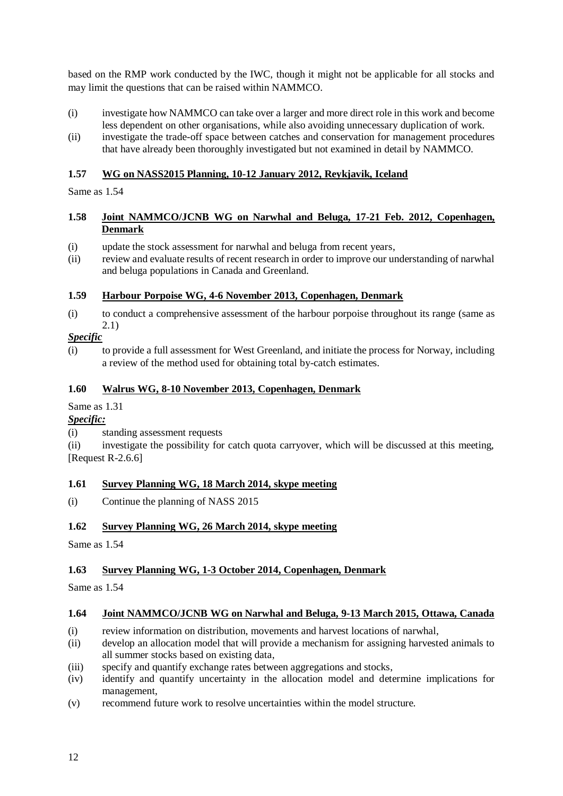based on the RMP work conducted by the IWC, though it might not be applicable for all stocks and may limit the questions that can be raised within NAMMCO.

- (i) investigate how NAMMCO can take over a larger and more direct role in this work and become less dependent on other organisations, while also avoiding unnecessary duplication of work.
- (ii) investigate the trade-off space between catches and conservation for management procedures that have already been thoroughly investigated but not examined in detail by NAMMCO.

# <span id="page-17-0"></span>**1.57 WG on NASS2015 Planning, 10-12 January 2012, Reykjavik, Iceland**

Same as 1.54

### <span id="page-17-1"></span>**1.58 Joint NAMMCO/JCNB WG on Narwhal and Beluga, 17-21 Feb. 2012, Copenhagen, Denmark**

- (i) update the stock assessment for narwhal and beluga from recent years,
- (ii) review and evaluate results of recent research in order to improve our understanding of narwhal and beluga populations in Canada and Greenland.

# <span id="page-17-2"></span>**1.59 Harbour Porpoise WG, 4-6 November 2013, Copenhagen, Denmark**

(i) to conduct a comprehensive assessment of the harbour porpoise throughout its range (same as 2.1)

# *Specific*

(i) to provide a full assessment for West Greenland, and initiate the process for Norway, including a review of the method used for obtaining total by-catch estimates.

### <span id="page-17-3"></span>**1.60 Walrus WG, 8-10 November 2013, Copenhagen, Denmark**

#### Same as 1.31

# *Specific:*

(i) standing assessment requests

(ii) investigate the possibility for catch quota carryover, which will be discussed at this meeting, [Request R-2.6.6]

# <span id="page-17-4"></span>**1.61 Survey Planning WG, 18 March 2014, skype meeting**

(i) Continue the planning of NASS 2015

# <span id="page-17-5"></span>**1.62 Survey Planning WG, 26 March 2014, skype meeting**

Same as 1.54

# <span id="page-17-6"></span>**1.63 Survey Planning WG, 1-3 October 2014, Copenhagen, Denmark**

Same as 1.54

# <span id="page-17-7"></span>**1.64 Joint NAMMCO/JCNB WG on Narwhal and Beluga, 9-13 March 2015, Ottawa, Canada**

- (i) review information on distribution, movements and harvest locations of narwhal,
- (ii) develop an allocation model that will provide a mechanism for assigning harvested animals to all summer stocks based on existing data,
- (iii) specify and quantify exchange rates between aggregations and stocks,
- (iv) identify and quantify uncertainty in the allocation model and determine implications for management,
- (v) recommend future work to resolve uncertainties within the model structure.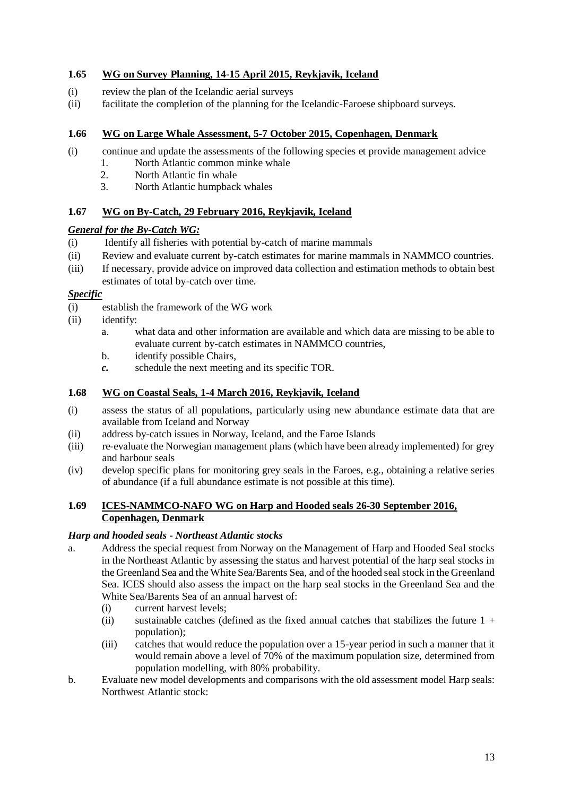# <span id="page-18-0"></span>**1.65 WG on Survey Planning, 14-15 April 2015, Reykjavik, Iceland**

- (i) review the plan of the Icelandic aerial surveys
- (ii) facilitate the completion of the planning for the Icelandic-Faroese shipboard surveys.

### <span id="page-18-1"></span>**1.66 WG on Large Whale Assessment, 5-7 October 2015, Copenhagen, Denmark**

- (i) continue and update the assessments of the following species et provide management advice
	- 1. North Atlantic common minke whale
	- 2. North Atlantic fin whale
	- 3. North Atlantic humpback whales

# <span id="page-18-2"></span>**1.67 WG on By-Catch, 29 February 2016, Reykjavik, Iceland**

#### *General for the By-Catch WG:*

- (i) Identify all fisheries with potential by-catch of marine mammals
- (ii) Review and evaluate current by-catch estimates for marine mammals in NAMMCO countries.
- (iii) If necessary, provide advice on improved data collection and estimation methods to obtain best estimates of total by-catch over time.

#### *Specific*

- (i) establish the framework of the WG work
- (ii) identify:
	- a. what data and other information are available and which data are missing to be able to evaluate current by-catch estimates in NAMMCO countries,
	- b. identify possible Chairs,
	- *c.* schedule the next meeting and its specific TOR.

#### <span id="page-18-3"></span>**1.68 WG on Coastal Seals, 1-4 March 2016, Reykjavik, Iceland**

- (i) assess the status of all populations, particularly using new abundance estimate data that are available from Iceland and Norway
- (ii) address by-catch issues in Norway, Iceland, and the Faroe Islands
- (iii) re-evaluate the Norwegian management plans (which have been already implemented) for grey and harbour seals
- (iv) develop specific plans for monitoring grey seals in the Faroes, e.g., obtaining a relative series of abundance (if a full abundance estimate is not possible at this time).

### <span id="page-18-4"></span>**1.69 ICES-NAMMCO-NAFO WG on Harp and Hooded seals 26-30 September 2016, Copenhagen, Denmark**

#### *Harp and hooded seals - Northeast Atlantic stocks*

- a. Address the special request from Norway on the Management of Harp and Hooded Seal stocks in the Northeast Atlantic by assessing the status and harvest potential of the harp seal stocks in the Greenland Sea and the White Sea/Barents Sea, and of the hooded seal stock in the Greenland Sea. ICES should also assess the impact on the harp seal stocks in the Greenland Sea and the White Sea/Barents Sea of an annual harvest of:
	- (i) current harvest levels;
	- (ii) sustainable catches (defined as the fixed annual catches that stabilizes the future  $1 +$ population);
	- (iii) catches that would reduce the population over a 15-year period in such a manner that it would remain above a level of 70% of the maximum population size, determined from population modelling, with 80% probability.
- b. Evaluate new model developments and comparisons with the old assessment model Harp seals: Northwest Atlantic stock: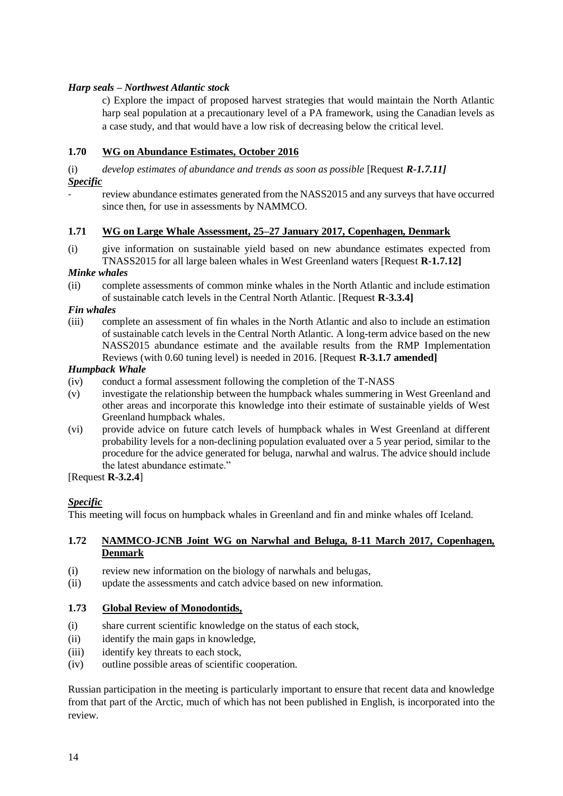# *Harp seals – Northwest Atlantic stock*

c) Explore the impact of proposed harvest strategies that would maintain the North Atlantic harp seal population at a precautionary level of a PA framework, using the Canadian levels as a case study, and that would have a low risk of decreasing below the critical level.

### <span id="page-19-0"></span>**1.70 WG on Abundance Estimates, October 2016**

(i) *develop estimates of abundance and trends as soon as possible* [Request *R-1.7.11] Specific*

review abundance estimates generated from the NASS2015 and any surveys that have occurred since then, for use in assessments by NAMMCO.

#### <span id="page-19-1"></span>**1.71 WG on Large Whale Assessment, 25–27 January 2017, Copenhagen, Denmark**

(i) give information on sustainable yield based on new abundance estimates expected from TNASS2015 for all large baleen whales in West Greenland waters [Request **R-1.7.12]**

#### *Minke whales*

(ii) complete assessments of common minke whales in the North Atlantic and include estimation of sustainable catch levels in the Central North Atlantic. [Request **R-3.3.4]**

*Fin whales*

(iii) complete an assessment of fin whales in the North Atlantic and also to include an estimation of sustainable catch levels in the Central North Atlantic. A long-term advice based on the new NASS2015 abundance estimate and the available results from the RMP Implementation Reviews (with 0.60 tuning level) is needed in 2016. [Request **R-3.1.7 amended]**

### *Humpback Whale*

- (iv) conduct a formal assessment following the completion of the T-NASS
- (v) investigate the relationship between the humpback whales summering in West Greenland and other areas and incorporate this knowledge into their estimate of sustainable yields of West Greenland humpback whales.
- (vi) provide advice on future catch levels of humpback whales in West Greenland at different probability levels for a non-declining population evaluated over a 5 year period, similar to the procedure for the advice generated for beluga, narwhal and walrus. The advice should include the latest abundance estimate."

[Request **R-3.2.4**]

#### *Specific*

This meeting will focus on humpback whales in Greenland and fin and minke whales off Iceland.

#### <span id="page-19-2"></span>**1.72 NAMMCO-JCNB Joint WG on Narwhal and Beluga, 8-11 March 2017, Copenhagen, Denmark**

- (i) review new information on the biology of narwhals and belugas,
- (ii) update the assessments and catch advice based on new information.

#### <span id="page-19-3"></span>**1.73 Global Review of Monodontids,**

- (i) share current scientific knowledge on the status of each stock,
- (ii) identify the main gaps in knowledge,
- (iii) identify key threats to each stock,
- (iv) outline possible areas of scientific cooperation.

Russian participation in the meeting is particularly important to ensure that recent data and knowledge from that part of the Arctic, much of which has not been published in English, is incorporated into the review.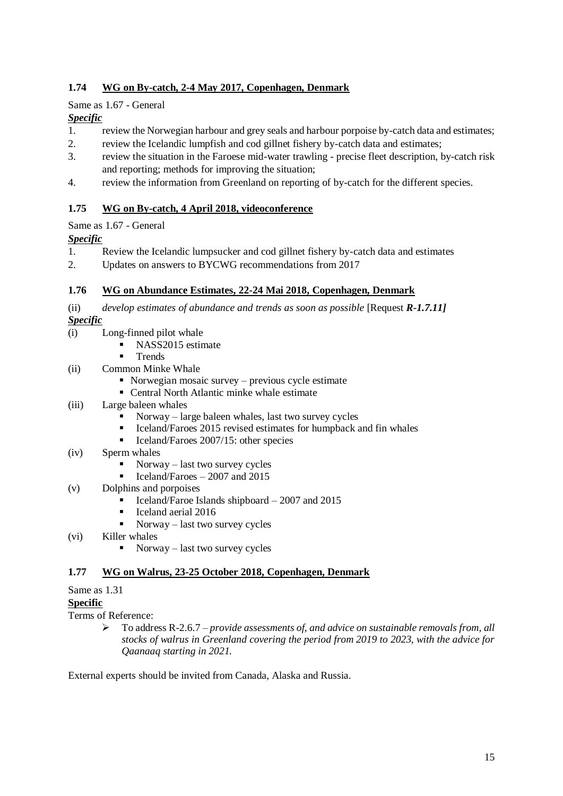# <span id="page-20-0"></span>**1.74 WG on By-catch, 2-4 May 2017, Copenhagen, Denmark**

# Same as 1.67 - General

# *Specific*

- 1. review the Norwegian harbour and grey seals and harbour porpoise by-catch data and estimates;
- 2. review the Icelandic lumpfish and cod gillnet fishery by-catch data and estimates;
- 3. review the situation in the Faroese mid-water trawling precise fleet description, by-catch risk and reporting; methods for improving the situation;
- 4. review the information from Greenland on reporting of by-catch for the different species.

# <span id="page-20-1"></span>**1.75 WG on By-catch, 4 April 2018, videoconference**

# Same as 1.67 - General

# *Specific*

- 1. Review the Icelandic lumpsucker and cod gillnet fishery by-catch data and estimates
- 2. Updates on answers to BYCWG recommendations from 2017

# <span id="page-20-2"></span>**1.76 WG on Abundance Estimates, 22-24 Mai 2018, Copenhagen, Denmark**

(ii) *develop estimates of abundance and trends as soon as possible* [Request *R-1.7.11] Specific*

- (i) Long-finned pilot whale
	- NASS2015 estimate
	- **Trends**
- (ii) Common Minke Whale
	- Norwegian mosaic survey previous cycle estimate
	- Central North Atlantic minke whale estimate
- (iii) Large baleen whales
	- $Norway large baleen whales, last two survey cycles$
	- Iceland/Faroes 2015 revised estimates for humpback and fin whales
	- Iceland/Faroes 2007/15: other species
- (iv) Sperm whales
	- $Norway last two survey cycles$
	- $\blacksquare$  Iceland/Faroes 2007 and 2015
- (v) Dolphins and porpoises
	- Iceland/Faroe Islands shipboard  $-2007$  and 2015
	- Iceland aerial 2016
	- $Norway last two survey cycles$
- (vi) Killer whales
	- Norway last two survey cycles

# <span id="page-20-3"></span>**1.77 WG on Walrus, 23-25 October 2018, Copenhagen, Denmark**

# Same as 1.31

# **Specific**

Terms of Reference:

➢ To address R-2.6.7 – *provide assessments of, and advice on sustainable removals from, all stocks of walrus in Greenland covering the period from 2019 to 2023, with the advice for Qaanaaq starting in 2021.*

External experts should be invited from Canada, Alaska and Russia.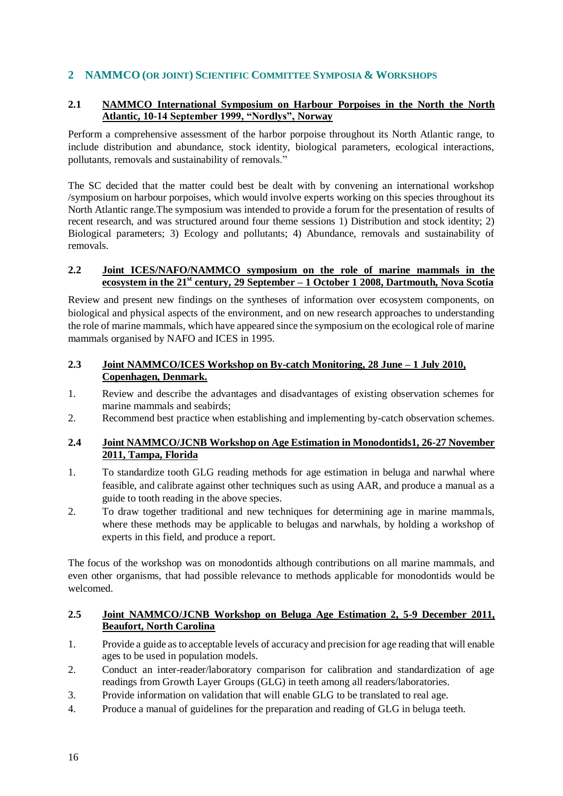# <span id="page-21-0"></span>**2 NAMMCO (OR JOINT) SCIENTIFIC COMMITTEE SYMPOSIA & WORKSHOPS**

# <span id="page-21-1"></span>**2.1 NAMMCO International Symposium on Harbour Porpoises in the North the North Atlantic, 10-14 September 1999, "Nordlys", Norway**

Perform a comprehensive assessment of the harbor porpoise throughout its North Atlantic range, to include distribution and abundance, stock identity, biological parameters, ecological interactions, pollutants, removals and sustainability of removals."

The SC decided that the matter could best be dealt with by convening an international workshop /symposium on harbour porpoises, which would involve experts working on this species throughout its North Atlantic range.The symposium was intended to provide a forum for the presentation of results of recent research, and was structured around four theme sessions 1) Distribution and stock identity; 2) Biological parameters; 3) Ecology and pollutants; 4) Abundance, removals and sustainability of removals.

### <span id="page-21-2"></span>**2.2 Joint ICES/NAFO/NAMMCO symposium on the role of marine mammals in the ecosystem in the 21st century, 29 September – 1 October 1 2008, Dartmouth, Nova Scotia**

Review and present new findings on the syntheses of information over ecosystem components, on biological and physical aspects of the environment, and on new research approaches to understanding the role of marine mammals, which have appeared since the symposium on the ecological role of marine mammals organised by NAFO and ICES in 1995.

# <span id="page-21-3"></span>**2.3 Joint NAMMCO/ICES Workshop on By-catch Monitoring, 28 June – 1 July 2010, Copenhagen, Denmark.**

- 1. Review and describe the advantages and disadvantages of existing observation schemes for marine mammals and seabirds;
- 2. Recommend best practice when establishing and implementing by-catch observation schemes.

#### <span id="page-21-4"></span>**2.4 Joint NAMMCO/JCNB Workshop on Age Estimation in Monodontids1, 26-27 November 2011, Tampa, Florida**

- 1. To standardize tooth GLG reading methods for age estimation in beluga and narwhal where feasible, and calibrate against other techniques such as using AAR, and produce a manual as a guide to tooth reading in the above species.
- 2. To draw together traditional and new techniques for determining age in marine mammals, where these methods may be applicable to belugas and narwhals, by holding a workshop of experts in this field, and produce a report.

The focus of the workshop was on monodontids although contributions on all marine mammals, and even other organisms, that had possible relevance to methods applicable for monodontids would be welcomed.

# <span id="page-21-5"></span>**2.5 Joint NAMMCO/JCNB Workshop on Beluga Age Estimation 2, 5-9 December 2011, Beaufort, North Carolina**

- 1. Provide a guide as to acceptable levels of accuracy and precision for age reading that will enable ages to be used in population models.
- 2. Conduct an inter-reader/laboratory comparison for calibration and standardization of age readings from Growth Layer Groups (GLG) in teeth among all readers/laboratories.
- 3. Provide information on validation that will enable GLG to be translated to real age.
- 4. Produce a manual of guidelines for the preparation and reading of GLG in beluga teeth.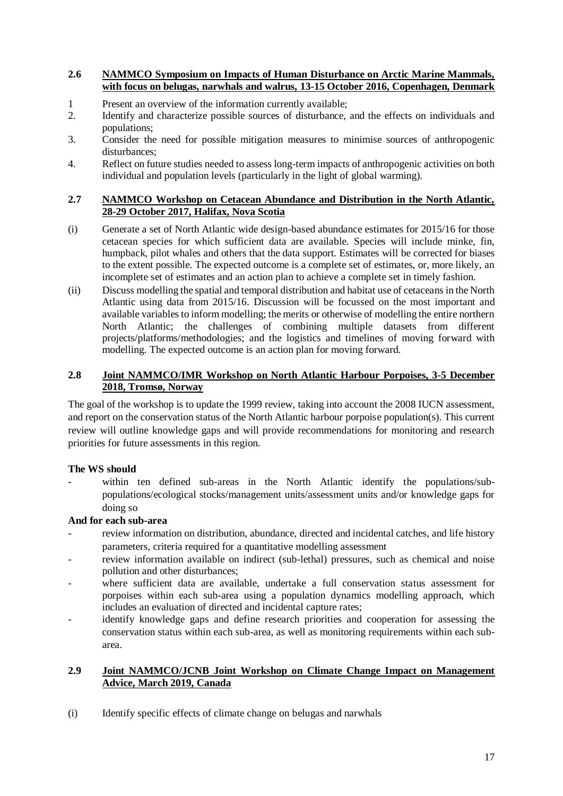#### <span id="page-22-0"></span>**2.6 NAMMCO Symposium on Impacts of Human Disturbance on Arctic Marine Mammals, with focus on belugas, narwhals and walrus, 13-15 October 2016, Copenhagen, Denmark**

- 1 Present an overview of the information currently available;
- 2. Identify and characterize possible sources of disturbance, and the effects on individuals and populations;
- 3. Consider the need for possible mitigation measures to minimise sources of anthropogenic disturbances;
- 4. Reflect on future studies needed to assess long-term impacts of anthropogenic activities on both individual and population levels (particularly in the light of global warming).

### <span id="page-22-1"></span>**2.7 NAMMCO Workshop on Cetacean Abundance and Distribution in the North Atlantic, 28-29 October 2017, Halifax, Nova Scotia**

- (i) Generate a set of North Atlantic wide design-based abundance estimates for 2015/16 for those cetacean species for which sufficient data are available. Species will include minke, fin, humpback, pilot whales and others that the data support. Estimates will be corrected for biases to the extent possible. The expected outcome is a complete set of estimates, or, more likely, an incomplete set of estimates and an action plan to achieve a complete set in timely fashion.
- (ii) Discuss modelling the spatial and temporal distribution and habitat use of cetaceans in the North Atlantic using data from 2015/16. Discussion will be focussed on the most important and available variables to inform modelling; the merits or otherwise of modelling the entire northern North Atlantic; the challenges of combining multiple datasets from different projects/platforms/methodologies; and the logistics and timelines of moving forward with modelling. The expected outcome is an action plan for moving forward.

# <span id="page-22-2"></span>**2.8 Joint NAMMCO/IMR Workshop on North Atlantic Harbour Porpoises, 3-5 December 2018, Tromsø, Norway**

The goal of the workshop is to update the 1999 review, taking into account the 2008 IUCN assessment, and report on the conservation status of the North Atlantic harbour porpoise population(s). This current review will outline knowledge gaps and will provide recommendations for monitoring and research priorities for future assessments in this region.

# **The WS should**

within ten defined sub-areas in the North Atlantic identify the populations/subpopulations/ecological stocks/management units/assessment units and/or knowledge gaps for doing so

# **And for each sub-area**

- review information on distribution, abundance, directed and incidental catches, and life history parameters, criteria required for a quantitative modelling assessment
- review information available on indirect (sub-lethal) pressures, such as chemical and noise pollution and other disturbances;
- where sufficient data are available, undertake a full conservation status assessment for porpoises within each sub-area using a population dynamics modelling approach, which includes an evaluation of directed and incidental capture rates;
- identify knowledge gaps and define research priorities and cooperation for assessing the conservation status within each sub-area, as well as monitoring requirements within each subarea.

# <span id="page-22-3"></span>**2.9 Joint NAMMCO/JCNB Joint Workshop on Climate Change Impact on Management Advice, March 2019, Canada**

(i) Identify specific effects of climate change on belugas and narwhals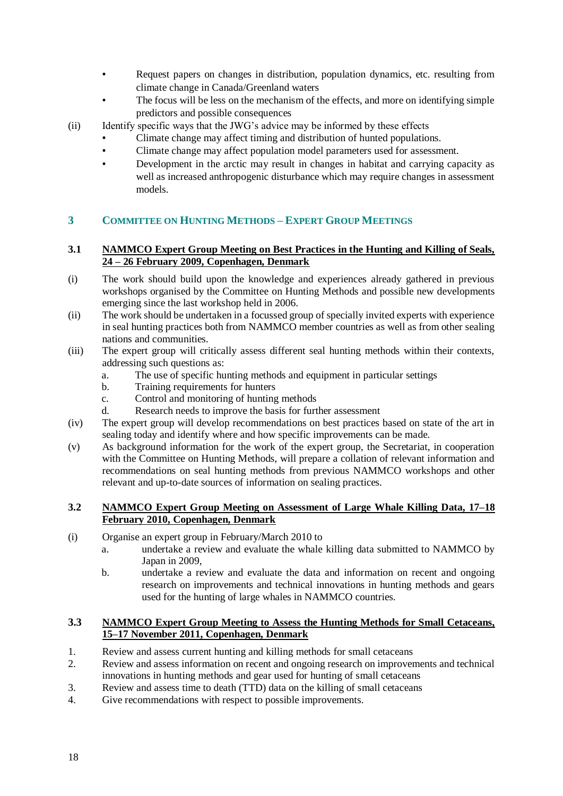- Request papers on changes in distribution, population dynamics, etc. resulting from climate change in Canada/Greenland waters
- The focus will be less on the mechanism of the effects, and more on identifying simple predictors and possible consequences
- (ii) Identify specific ways that the JWG's advice may be informed by these effects
	- Climate change may affect timing and distribution of hunted populations.
	- Climate change may affect population model parameters used for assessment.
	- Development in the arctic may result in changes in habitat and carrying capacity as well as increased anthropogenic disturbance which may require changes in assessment models.

# <span id="page-23-0"></span>**3 COMMITTEE ON HUNTING METHODS – EXPERT GROUP MEETINGS**

### <span id="page-23-1"></span>**3.1 NAMMCO Expert Group Meeting on Best Practices in the Hunting and Killing of Seals, 24 – 26 February 2009, Copenhagen, Denmark**

- (i) The work should build upon the knowledge and experiences already gathered in previous workshops organised by the Committee on Hunting Methods and possible new developments emerging since the last workshop held in 2006.
- (ii) The work should be undertaken in a focussed group of specially invited experts with experience in seal hunting practices both from NAMMCO member countries as well as from other sealing nations and communities.
- (iii) The expert group will critically assess different seal hunting methods within their contexts, addressing such questions as:
	- a. The use of specific hunting methods and equipment in particular settings
	- b. Training requirements for hunters
	- c. Control and monitoring of hunting methods
	- d. Research needs to improve the basis for further assessment
- (iv) The expert group will develop recommendations on best practices based on state of the art in sealing today and identify where and how specific improvements can be made.
- (v) As background information for the work of the expert group, the Secretariat, in cooperation with the Committee on Hunting Methods, will prepare a collation of relevant information and recommendations on seal hunting methods from previous NAMMCO workshops and other relevant and up-to-date sources of information on sealing practices.

# <span id="page-23-2"></span>**3.2 NAMMCO Expert Group Meeting on Assessment of Large Whale Killing Data, 17–18 February 2010, Copenhagen, Denmark**

- (i) Organise an expert group in February/March 2010 to
	- a. undertake a review and evaluate the whale killing data submitted to NAMMCO by Japan in 2009,
	- b. undertake a review and evaluate the data and information on recent and ongoing research on improvements and technical innovations in hunting methods and gears used for the hunting of large whales in NAMMCO countries.

# <span id="page-23-3"></span>**3.3 NAMMCO Expert Group Meeting to Assess the Hunting Methods for Small Cetaceans, 15–17 November 2011, Copenhagen, Denmark**

- 1. Review and assess current hunting and killing methods for small cetaceans
- 2. Review and assess information on recent and ongoing research on improvements and technical innovations in hunting methods and gear used for hunting of small cetaceans
- 3. Review and assess time to death (TTD) data on the killing of small cetaceans
- 4. Give recommendations with respect to possible improvements.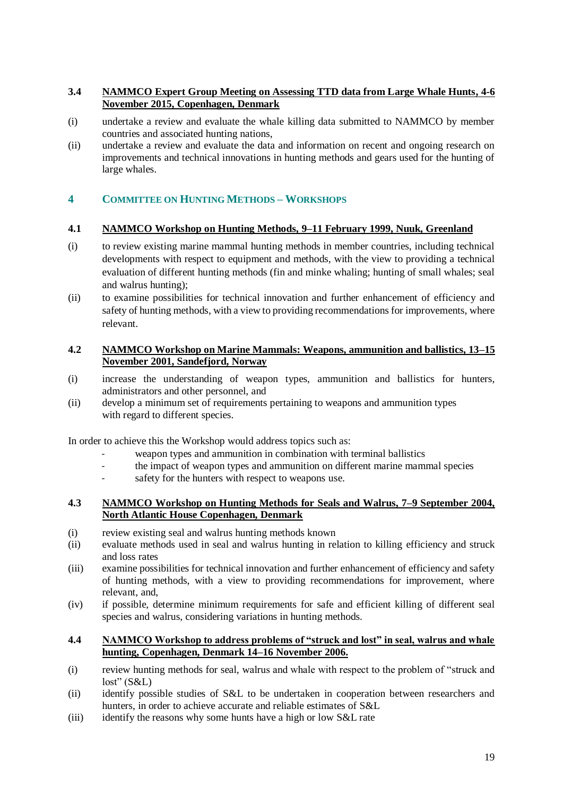# <span id="page-24-0"></span>**3.4 NAMMCO Expert Group Meeting on Assessing TTD data from Large Whale Hunts, 4-6 November 2015, Copenhagen, Denmark**

- (i) undertake a review and evaluate the whale killing data submitted to NAMMCO by member countries and associated hunting nations,
- (ii) undertake a review and evaluate the data and information on recent and ongoing research on improvements and technical innovations in hunting methods and gears used for the hunting of large whales.

# <span id="page-24-1"></span>**4 COMMITTEE ON HUNTING METHODS – WORKSHOPS**

#### <span id="page-24-2"></span>**4.1 NAMMCO Workshop on Hunting Methods, 9–11 February 1999, Nuuk, Greenland**

- (i) to review existing marine mammal hunting methods in member countries, including technical developments with respect to equipment and methods, with the view to providing a technical evaluation of different hunting methods (fin and minke whaling; hunting of small whales; seal and walrus hunting);
- (ii) to examine possibilities for technical innovation and further enhancement of efficiency and safety of hunting methods, with a view to providing recommendations for improvements, where relevant.

#### <span id="page-24-3"></span>**4.2 NAMMCO Workshop on Marine Mammals: Weapons, ammunition and ballistics, 13–15 November 2001, Sandefjord, Norway**

- (i) increase the understanding of weapon types, ammunition and ballistics for hunters, administrators and other personnel, and
- (ii) develop a minimum set of requirements pertaining to weapons and ammunition types with regard to different species.

In order to achieve this the Workshop would address topics such as:

- weapon types and ammunition in combination with terminal ballistics
- the impact of weapon types and ammunition on different marine mammal species
- safety for the hunters with respect to weapons use.

#### <span id="page-24-4"></span>**4.3 NAMMCO Workshop on Hunting Methods for Seals and Walrus, 7–9 September 2004, North Atlantic House Copenhagen, Denmark**

- (i) review existing seal and walrus hunting methods known
- (ii) evaluate methods used in seal and walrus hunting in relation to killing efficiency and struck and loss rates
- (iii) examine possibilities for technical innovation and further enhancement of efficiency and safety of hunting methods, with a view to providing recommendations for improvement, where relevant, and,
- (iv) if possible, determine minimum requirements for safe and efficient killing of different seal species and walrus, considering variations in hunting methods.

#### <span id="page-24-5"></span>**4.4 NAMMCO Workshop to address problems of "struck and lost" in seal, walrus and whale hunting, Copenhagen, Denmark 14–16 November 2006.**

- (i) review hunting methods for seal, walrus and whale with respect to the problem of "struck and  $lost" (S&L)$
- (ii) identify possible studies of S&L to be undertaken in cooperation between researchers and hunters, in order to achieve accurate and reliable estimates of S&L
- (iii) identify the reasons why some hunts have a high or low S&L rate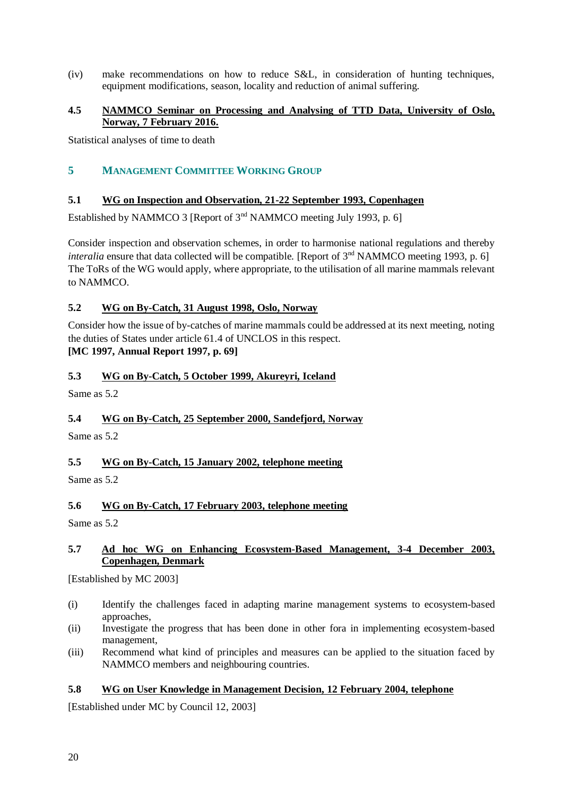(iv) make recommendations on how to reduce S&L, in consideration of hunting techniques, equipment modifications, season, locality and reduction of animal suffering.

# <span id="page-25-0"></span>**4.5 NAMMCO Seminar on Processing and Analysing of TTD Data, University of Oslo, Norway, 7 February 2016.**

<span id="page-25-1"></span>Statistical analyses of time to death

# **5 MANAGEMENT COMMITTEE WORKING GROUP**

### <span id="page-25-2"></span>**5.1 WG on Inspection and Observation, 21-22 September 1993, Copenhagen**

Established by NAMMCO 3 [Report of 3<sup>nd</sup> NAMMCO meeting July 1993, p. 6]

Consider inspection and observation schemes, in order to harmonise national regulations and thereby *interalia* ensure that data collected will be compatible. [Report of  $3<sup>nd</sup>$  NAMMCO meeting 1993, p. 6] The ToRs of the WG would apply, where appropriate, to the utilisation of all marine mammals relevant to NAMMCO.

#### <span id="page-25-3"></span>**5.2 WG on By-Catch, 31 August 1998, Oslo, Norway**

Consider how the issue of by-catches of marine mammals could be addressed at its next meeting, noting the duties of States under article 61.4 of UNCLOS in this respect. **[MC 1997, Annual Report 1997, p. 69]**

#### <span id="page-25-4"></span>**5.3 WG on By-Catch, 5 October 1999, Akureyri, Iceland**

Same as 5.2

# <span id="page-25-5"></span>**5.4 WG on By-Catch, 25 September 2000, Sandefjord, Norway**

Same as 5.2

# <span id="page-25-6"></span>**5.5 WG on By-Catch, 15 January 2002, telephone meeting**

Same as 5.2

# <span id="page-25-7"></span>**5.6 WG on By-Catch, 17 February 2003, telephone meeting**

Same as 5.2

#### <span id="page-25-8"></span>**5.7 Ad hoc WG on Enhancing Ecosystem-Based Management, 3-4 December 2003, Copenhagen, Denmark**

[Established by MC 2003]

- (i) Identify the challenges faced in adapting marine management systems to ecosystem-based approaches,
- (ii) Investigate the progress that has been done in other fora in implementing ecosystem-based management,
- (iii) Recommend what kind of principles and measures can be applied to the situation faced by NAMMCO members and neighbouring countries.

#### <span id="page-25-9"></span>**5.8 WG on User Knowledge in Management Decision, 12 February 2004, telephone**

[Established under MC by Council 12, 2003]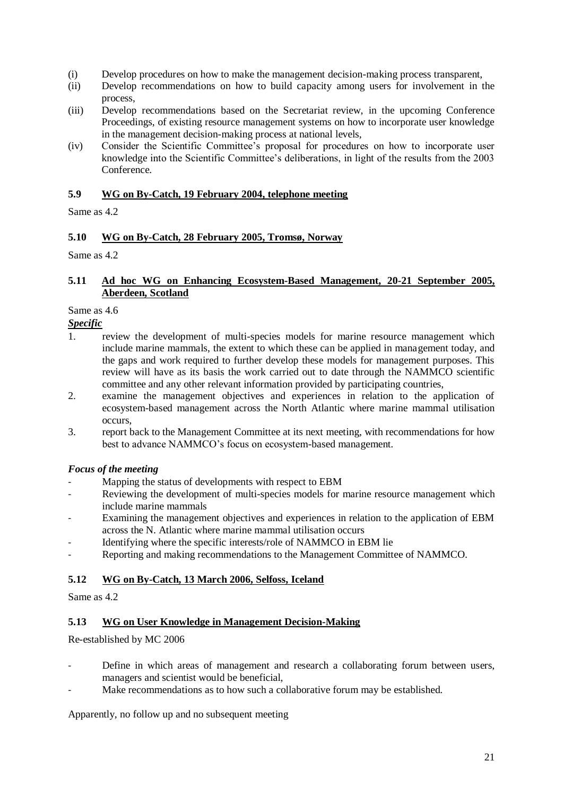- (i) Develop procedures on how to make the management decision-making process transparent,
- (ii) Develop recommendations on how to build capacity among users for involvement in the process,
- (iii) Develop recommendations based on the Secretariat review, in the upcoming Conference Proceedings, of existing resource management systems on how to incorporate user knowledge in the management decision-making process at national levels,
- (iv) Consider the Scientific Committee's proposal for procedures on how to incorporate user knowledge into the Scientific Committee's deliberations, in light of the results from the 2003 Conference.

# <span id="page-26-0"></span>**5.9 WG on By-Catch, 19 February 2004, telephone meeting**

Same as 4.2

# <span id="page-26-1"></span>**5.10 WG on By-Catch, 28 February 2005, Tromsø, Norway**

Same as 4.2

#### <span id="page-26-2"></span>**5.11 Ad hoc WG on Enhancing Ecosystem-Based Management, 20-21 September 2005, Aberdeen, Scotland**

### Same as 4.6

*Specific*

- 1. review the development of multi-species models for marine resource management which include marine mammals, the extent to which these can be applied in management today, and the gaps and work required to further develop these models for management purposes. This review will have as its basis the work carried out to date through the NAMMCO scientific committee and any other relevant information provided by participating countries,
- 2. examine the management objectives and experiences in relation to the application of ecosystem-based management across the North Atlantic where marine mammal utilisation occurs,
- 3. report back to the Management Committee at its next meeting, with recommendations for how best to advance NAMMCO's focus on ecosystem-based management.

# *Focus of the meeting*

- Mapping the status of developments with respect to EBM
- Reviewing the development of multi-species models for marine resource management which include marine mammals
- Examining the management objectives and experiences in relation to the application of EBM across the N. Atlantic where marine mammal utilisation occurs
- Identifying where the specific interests/role of NAMMCO in EBM lie
- Reporting and making recommendations to the Management Committee of NAMMCO.

# <span id="page-26-3"></span>**5.12 WG on By-Catch, 13 March 2006, Selfoss, Iceland**

Same as  $4.2<sup>2</sup>$ 

#### <span id="page-26-4"></span>**5.13 WG on User Knowledge in Management Decision-Making**

Re-established by MC 2006

- Define in which areas of management and research a collaborating forum between users, managers and scientist would be beneficial,
- Make recommendations as to how such a collaborative forum may be established.

Apparently, no follow up and no subsequent meeting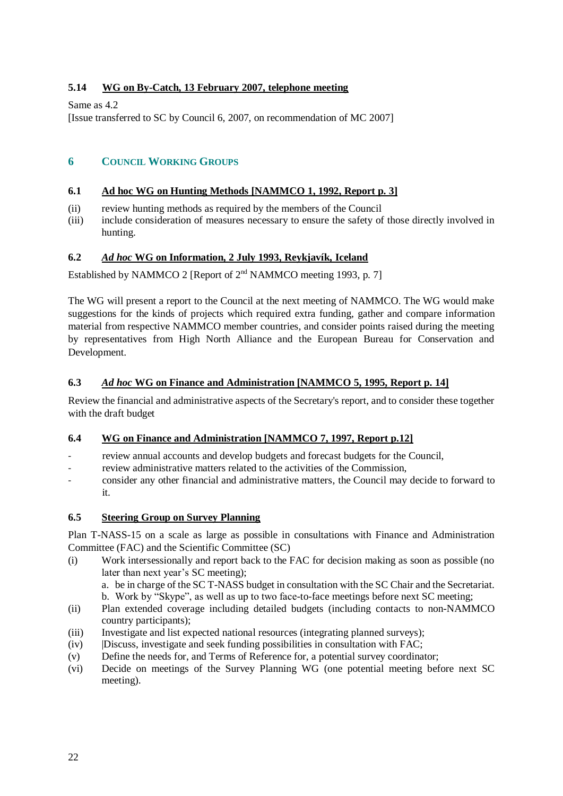# <span id="page-27-0"></span>**5.14 WG on By-Catch, 13 February 2007, telephone meeting**

Same as 4.2

[Issue transferred to SC by Council 6, 2007, on recommendation of MC 2007]

# <span id="page-27-1"></span>**6 COUNCIL WORKING GROUPS**

### <span id="page-27-2"></span>**6.1 Ad hoc WG on Hunting Methods [NAMMCO 1, 1992, Report p. 3]**

- (ii) review hunting methods as required by the members of the Council
- (iii) include consideration of measures necessary to ensure the safety of those directly involved in hunting.

# <span id="page-27-3"></span>**6.2** *Ad hoc* **WG on Information, 2 July 1993, Reykjavík, Iceland**

Established by NAMMCO 2 [Report of 2<sup>nd</sup> NAMMCO meeting 1993, p. 7]

The WG will present a report to the Council at the next meeting of NAMMCO. The WG would make suggestions for the kinds of projects which required extra funding, gather and compare information material from respective NAMMCO member countries, and consider points raised during the meeting by representatives from High North Alliance and the European Bureau for Conservation and Development.

# <span id="page-27-4"></span>**6.3** *Ad hoc* **WG on Finance and Administration [NAMMCO 5, 1995, Report p. 14]**

Review the financial and administrative aspects of the Secretary's report, and to consider these together with the draft budget

# <span id="page-27-5"></span>**6.4 WG on Finance and Administration [NAMMCO 7, 1997, Report p.12]**

- review annual accounts and develop budgets and forecast budgets for the Council,
- review administrative matters related to the activities of the Commission,
- consider any other financial and administrative matters, the Council may decide to forward to it.

# <span id="page-27-6"></span>**6.5 Steering Group on Survey Planning**

Plan T-NASS-15 on a scale as large as possible in consultations with Finance and Administration Committee (FAC) and the Scientific Committee (SC)

(i) Work intersessionally and report back to the FAC for decision making as soon as possible (no later than next year's SC meeting);

a. be in charge of the SC T-NASS budget in consultation with the SC Chair and the Secretariat. b. Work by "Skype", as well as up to two face-to-face meetings before next SC meeting;

- (ii) Plan extended coverage including detailed budgets (including contacts to non-NAMMCO country participants);
- (iii) Investigate and list expected national resources (integrating planned surveys);
- (iv) |Discuss, investigate and seek funding possibilities in consultation with FAC;
- (v) Define the needs for, and Terms of Reference for, a potential survey coordinator;
- (vi) Decide on meetings of the Survey Planning WG (one potential meeting before next SC meeting).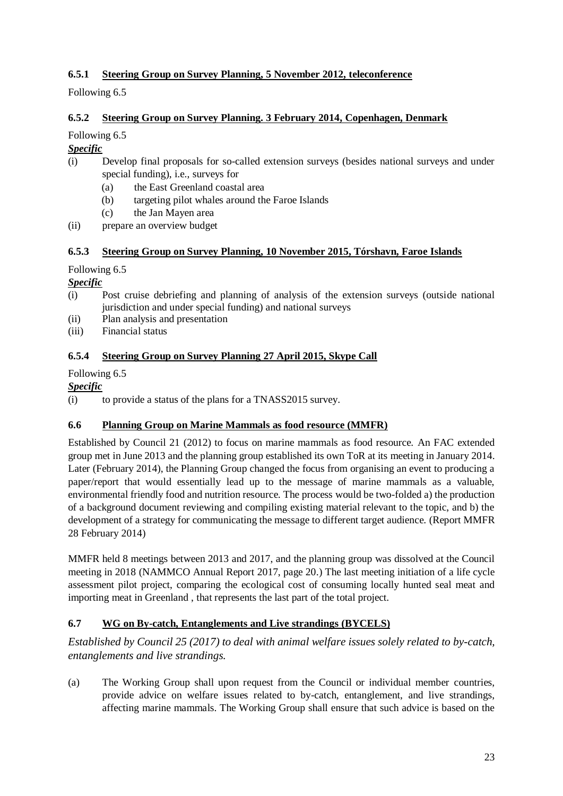# <span id="page-28-0"></span>**6.5.1 Steering Group on Survey Planning, 5 November 2012, teleconference**

Following 6.5

# <span id="page-28-1"></span>**6.5.2 Steering Group on Survey Planning. 3 February 2014, Copenhagen, Denmark**

Following 6.5

# *Specific*

- (i) Develop final proposals for so-called extension surveys (besides national surveys and under special funding), i.e., surveys for
	- (a) the East Greenland coastal area
	- (b) targeting pilot whales around the Faroe Islands
	- (c) the Jan Mayen area
- (ii) prepare an overview budget

# <span id="page-28-2"></span>**6.5.3 Steering Group on Survey Planning, 10 November 2015, Tórshavn, Faroe Islands**

# Following 6.5

# *Specific*

- (i) Post cruise debriefing and planning of analysis of the extension surveys (outside national jurisdiction and under special funding) and national surveys
- (ii) Plan analysis and presentation
- (iii) Financial status

# <span id="page-28-3"></span>**6.5.4 Steering Group on Survey Planning 27 April 2015, Skype Call**

# Following 6.5

# *Specific*

(i) to provide a status of the plans for a TNASS2015 survey.

# <span id="page-28-4"></span>**6.6 Planning Group on Marine Mammals as food resource (MMFR)**

Established by Council 21 (2012) to focus on marine mammals as food resource. An FAC extended group met in June 2013 and the planning group established its own ToR at its meeting in January 2014. Later (February 2014), the Planning Group changed the focus from organising an event to producing a paper/report that would essentially lead up to the message of marine mammals as a valuable, environmental friendly food and nutrition resource. The process would be two-folded a) the production of a background document reviewing and compiling existing material relevant to the topic, and b) the development of a strategy for communicating the message to different target audience. (Report MMFR 28 February 2014)

MMFR held 8 meetings between 2013 and 2017, and the planning group was dissolved at the Council meeting in 2018 (NAMMCO Annual Report 2017, page 20.) The last meeting initiation of a life cycle assessment pilot project, comparing the ecological cost of consuming locally hunted seal meat and importing meat in Greenland , that represents the last part of the total project.

# <span id="page-28-5"></span>**6.7 WG on By-catch, Entanglements and Live strandings (BYCELS)**

*Established by Council 25 (2017) to deal with animal welfare issues solely related to by-catch, entanglements and live strandings.*

(a) The Working Group shall upon request from the Council or individual member countries, provide advice on welfare issues related to by-catch, entanglement, and live strandings, affecting marine mammals. The Working Group shall ensure that such advice is based on the